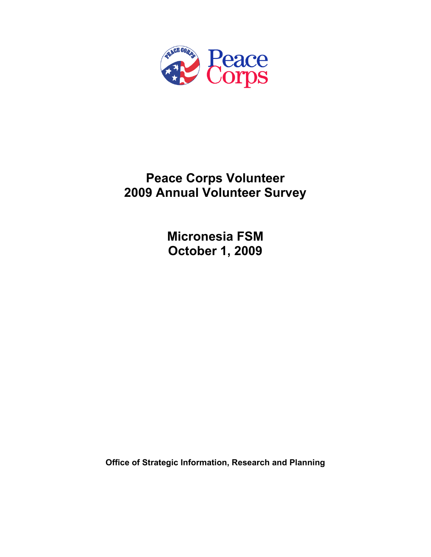

# **Peace Corps Volunteer 2009 Annual Volunteer Survey**

**Micronesia FSM October 1, 2009** 

**Office of Strategic Information, Research and Planning**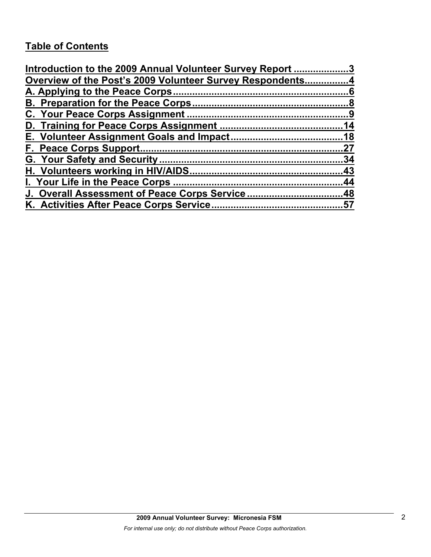# **Table of Contents**

| Introduction to the 2009 Annual Volunteer Survey Report 3 |     |
|-----------------------------------------------------------|-----|
| Overview of the Post's 2009 Volunteer Survey Respondents4 |     |
|                                                           |     |
|                                                           |     |
|                                                           |     |
|                                                           |     |
|                                                           |     |
|                                                           | 27  |
|                                                           | .34 |
|                                                           |     |
|                                                           |     |
| J. Overall Assessment of Peace Corps Service48            |     |
|                                                           |     |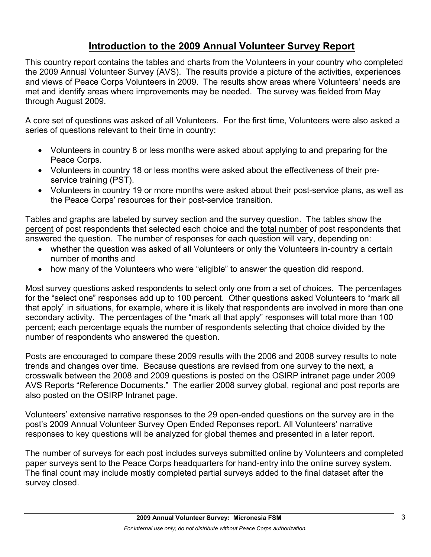# **Introduction to the 2009 Annual Volunteer Survey Report**

This country report contains the tables and charts from the Volunteers in your country who completed the 2009 Annual Volunteer Survey (AVS). The results provide a picture of the activities, experiences and views of Peace Corps Volunteers in 2009. The results show areas where Volunteers' needs are met and identify areas where improvements may be needed. The survey was fielded from May through August 2009.

A core set of questions was asked of all Volunteers. For the first time, Volunteers were also asked a series of questions relevant to their time in country:

- Volunteers in country 8 or less months were asked about applying to and preparing for the Peace Corps.
- Volunteers in country 18 or less months were asked about the effectiveness of their preservice training (PST).
- Volunteers in country 19 or more months were asked about their post-service plans, as well as the Peace Corps' resources for their post-service transition.

Tables and graphs are labeled by survey section and the survey question. The tables show the percent of post respondents that selected each choice and the total number of post respondents that answered the question. The number of responses for each question will vary, depending on:

- whether the question was asked of all Volunteers or only the Volunteers in-country a certain number of months and
- how many of the Volunteers who were "eligible" to answer the question did respond.

Most survey questions asked respondents to select only one from a set of choices. The percentages for the "select one" responses add up to 100 percent. Other questions asked Volunteers to "mark all that apply" in situations, for example, where it is likely that respondents are involved in more than one secondary activity. The percentages of the "mark all that apply" responses will total more than 100 percent; each percentage equals the number of respondents selecting that choice divided by the number of respondents who answered the question.

Posts are encouraged to compare these 2009 results with the 2006 and 2008 survey results to note trends and changes over time. Because questions are revised from one survey to the next, a crosswalk between the 2008 and 2009 questions is posted on the OSIRP intranet page under 2009 AVS Reports "Reference Documents." The earlier 2008 survey global, regional and post reports are also posted on the OSIRP Intranet page.

Volunteers' extensive narrative responses to the 29 open-ended questions on the survey are in the post's 2009 Annual Volunteer Survey Open Ended Reponses report. All Volunteers' narrative responses to key questions will be analyzed for global themes and presented in a later report.

The number of surveys for each post includes surveys submitted online by Volunteers and completed paper surveys sent to the Peace Corps headquarters for hand-entry into the online survey system. The final count may include mostly completed partial surveys added to the final dataset after the survey closed.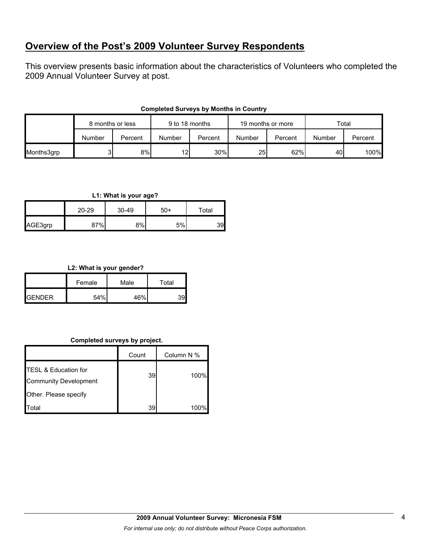# **Overview of the Post's 2009 Volunteer Survey Respondents**

This overview presents basic information about the characteristics of Volunteers who completed the 2009 Annual Volunteer Survey at post.

|            | 8 months or less |         | 9 to 18 months |         | 19 months or more |         | Total  |         |
|------------|------------------|---------|----------------|---------|-------------------|---------|--------|---------|
|            | Number           | Percent | Number         | Percent | Number            | Percent | Number | Percent |
| Months3grp |                  | 8%      | 12             | 30%     | 25 <sub>l</sub>   | 62%     | 40     | 100%    |

#### **Completed Surveys by Months in Country**

#### **L1: What is your age?**

|         | $20 - 29$ | 30-49 | $50+$ | Total |
|---------|-----------|-------|-------|-------|
| AGE3grp | 37%       | 8%    | 5%    | 39    |

#### **L2: What is your gender?**

|               | Female | Male | Total |
|---------------|--------|------|-------|
| <b>GENDER</b> | 54%    | 46%  | 3al   |

#### **Completed surveys by project.**

|                                                                 | Count | Column N % |
|-----------------------------------------------------------------|-------|------------|
| <b>TESL &amp; Education for</b><br><b>Community Development</b> | 391   | 100%       |
| Other. Please specify                                           |       |            |
| Total                                                           | 39    | 100%       |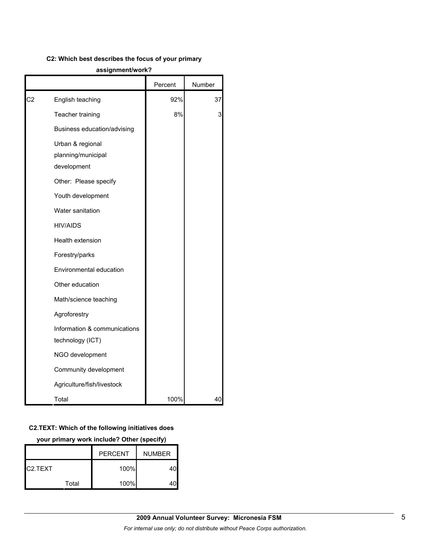#### **C2: Which best describes the focus of your primary**

#### **assignment/work?**

|                |                                                       | Percent | Number |
|----------------|-------------------------------------------------------|---------|--------|
| C <sub>2</sub> | English teaching                                      | 92%     | 37     |
|                | Teacher training                                      | 8%      | 3      |
|                | Business education/advising                           |         |        |
|                | Urban & regional<br>planning/municipal<br>development |         |        |
|                | Other: Please specify                                 |         |        |
|                | Youth development                                     |         |        |
|                | Water sanitation                                      |         |        |
|                | <b>HIV/AIDS</b>                                       |         |        |
|                | Health extension                                      |         |        |
|                | Forestry/parks                                        |         |        |
|                | Environmental education                               |         |        |
|                | Other education                                       |         |        |
|                | Math/science teaching                                 |         |        |
|                | Agroforestry                                          |         |        |
|                | Information & communications<br>technology (ICT)      |         |        |
|                | NGO development                                       |         |        |
|                | Community development                                 |         |        |
|                | Agriculture/fish/livestock                            |         |        |
|                | Total                                                 | 100%    | 40     |

#### **C2.TEXT: Which of the following initiatives does**

**your primary work include? Other (specify)**

|                      |       | <b>PERCENT</b><br><b>NUMBER</b> |  |
|----------------------|-------|---------------------------------|--|
| C <sub>2</sub> .TEXT |       | 100%                            |  |
|                      | Total | 100%                            |  |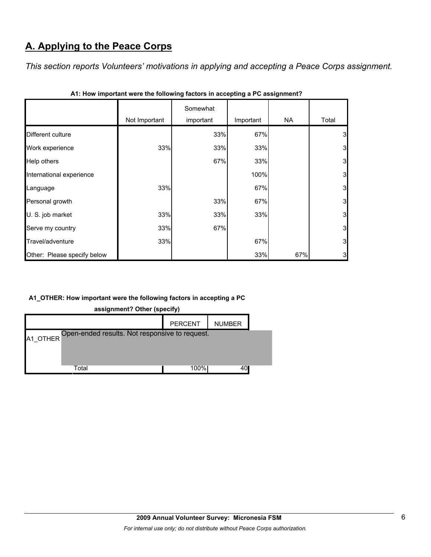# **A. Applying to the Peace Corps**

*This section reports Volunteers' motivations in applying and accepting a Peace Corps assignment.* 

|                             | Not Important | Somewhat<br>important | Important | NA  | Total                   |
|-----------------------------|---------------|-----------------------|-----------|-----|-------------------------|
| Different culture           |               | 33%                   | 67%       |     | 3                       |
| Work experience             | 33%           | 33%                   | 33%       |     | 3                       |
| Help others                 |               | 67%                   | 33%       |     | 3 <sub>l</sub>          |
| International experience    |               |                       | 100%      |     | 3 <sub>l</sub>          |
| Language                    | 33%           |                       | 67%       |     | $\overline{\mathbf{3}}$ |
| Personal growth             |               | 33%                   | 67%       |     | 3 <sub>l</sub>          |
| U. S. job market            | 33%           | 33%                   | 33%       |     | 3 <sub>l</sub>          |
| Serve my country            | 33%           | 67%                   |           |     | 3 <sub>l</sub>          |
| Travel/adventure            | 33%           |                       | 67%       |     | 3 <sub>l</sub>          |
| Other: Please specify below |               |                       | 33%       | 67% | $3 \mid$                |

| A1: How important were the following factors in accepting a PC assignment? |  |  |
|----------------------------------------------------------------------------|--|--|
|                                                                            |  |  |

### **A1\_OTHER: How important were the following factors in accepting a PC**

**assignment? Other (specify)**

|                                                         | <b>PERCENT</b> | <b>NUMBER</b> |  |
|---------------------------------------------------------|----------------|---------------|--|
| A1_OTHER Open-ended results. Not responsive to request. |                |               |  |
|                                                         |                |               |  |
| Total                                                   | 100%           | 40I           |  |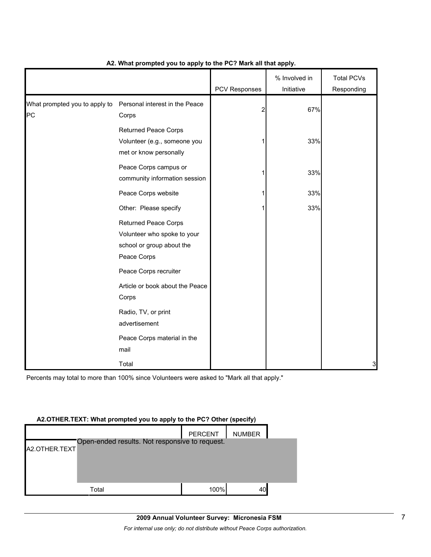|                                     |                                                                                                        | PCV Responses | % Involved in<br>Initiative | <b>Total PCVs</b><br>Responding |
|-------------------------------------|--------------------------------------------------------------------------------------------------------|---------------|-----------------------------|---------------------------------|
| What prompted you to apply to<br>PC | Personal interest in the Peace<br>Corps                                                                | 2             | 67%                         |                                 |
|                                     | <b>Returned Peace Corps</b><br>Volunteer (e.g., someone you<br>met or know personally                  |               | 33%                         |                                 |
|                                     | Peace Corps campus or<br>community information session                                                 |               | 33%                         |                                 |
|                                     | Peace Corps website                                                                                    |               | 33%                         |                                 |
|                                     | Other: Please specify                                                                                  |               | 33%                         |                                 |
|                                     | <b>Returned Peace Corps</b><br>Volunteer who spoke to your<br>school or group about the<br>Peace Corps |               |                             |                                 |
|                                     | Peace Corps recruiter                                                                                  |               |                             |                                 |
|                                     | Article or book about the Peace<br>Corps                                                               |               |                             |                                 |
|                                     | Radio, TV, or print<br>advertisement                                                                   |               |                             |                                 |
|                                     | Peace Corps material in the<br>mail                                                                    |               |                             |                                 |
|                                     | Total                                                                                                  |               |                             | 3                               |

#### **A2. What prompted you to apply to the PC? Mark all that apply.**

Percents may total to more than 100% since Volunteers were asked to "Mark all that apply."

### **A2.OTHER.TEXT: What prompted you to apply to the PC? Other (specify)**

|               |                                                | <b>PERCENT</b> | <b>NUMBER</b> |  |
|---------------|------------------------------------------------|----------------|---------------|--|
| A2.OTHER.TEXT | Open-ended results. Not responsive to request. |                |               |  |
|               |                                                |                |               |  |
|               |                                                |                |               |  |
|               |                                                |                |               |  |
|               | Total                                          | 100%           | 40            |  |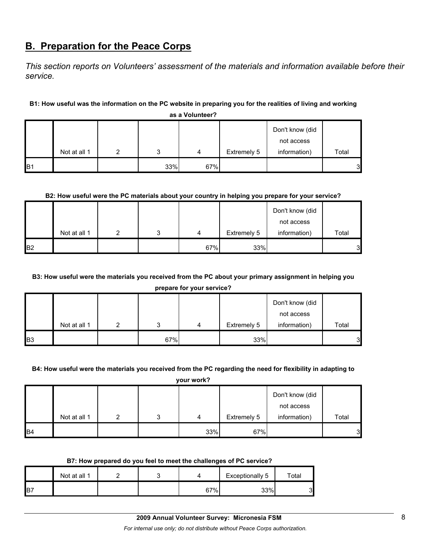# **B. Preparation for the Peace Corps**

*This section reports on Volunteers' assessment of the materials and information available before their service.* 

#### **B1: How useful was the information on the PC website in preparing you for the realities of living and working**

|                |              |   |     |     |             | Don't know (did |              |
|----------------|--------------|---|-----|-----|-------------|-----------------|--------------|
|                |              |   |     |     |             | not access      |              |
|                | Not at all 1 | ົ | ົ   | 4   | Extremely 5 | information)    | Total        |
| B <sub>1</sub> |              |   | 33% | 67% |             |                 | $\mathbf{3}$ |

**as a Volunteer?**

#### **B2: How useful were the PC materials about your country in helping you prepare for your service?**

|                |              |   |   |     |             | Don't know (did |       |
|----------------|--------------|---|---|-----|-------------|-----------------|-------|
|                |              |   |   |     |             | not access      |       |
|                | Not at all 1 | ◠ | ົ | 4   | Extremely 5 | information)    | Total |
| B <sub>2</sub> |              |   |   | 67% | 33%         |                 | 3     |

### **B3: How useful were the materials you received from the PC about your primary assignment in helping you**

**prepare for your service?**

|            |              |     |   |             | Don't know (did |       |
|------------|--------------|-----|---|-------------|-----------------|-------|
|            |              |     |   |             | not access      |       |
|            | Not at all 1 | ົ   | 4 | Extremely 5 | information)    | Total |
| <b>B</b> 3 |              | 67% |   | 33%         |                 | 3     |

#### **B4: How useful were the materials you received from the PC regarding the need for flexibility in adapting to**

**your work?**

|           |              |  |     |             | Don't know (did |       |
|-----------|--------------|--|-----|-------------|-----------------|-------|
|           |              |  |     |             | not access      |       |
|           | Not at all 1 |  | 4   | Extremely 5 | information)    | Total |
| <b>B4</b> |              |  | 33% | 67%         |                 | 3     |

#### **B7: How prepared do you feel to meet the challenges of PC service?**

|                 | Not at all 1 |  |     | Exceptionally 5 | $\tau$ otal |
|-----------------|--------------|--|-----|-----------------|-------------|
| IB <sub>7</sub> |              |  | 67% | 33%             | C<br>ັ      |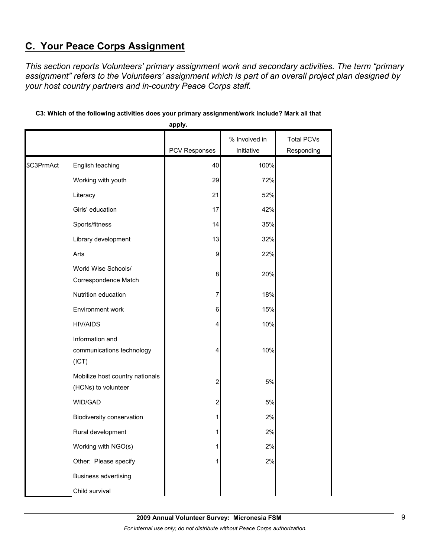# **C. Your Peace Corps Assignment**

*This section reports Volunteers' primary assignment work and secondary activities. The term "primary assignment" refers to the Volunteers' assignment which is part of an overall project plan designed by your host country partners and in-country Peace Corps staff.* 

|            |                                                        | apply.                  |               |                   |
|------------|--------------------------------------------------------|-------------------------|---------------|-------------------|
|            |                                                        |                         | % Involved in | <b>Total PCVs</b> |
|            |                                                        | <b>PCV Responses</b>    | Initiative    | Responding        |
| \$C3PrmAct | English teaching                                       | 40                      | 100%          |                   |
|            | Working with youth                                     | 29                      | 72%           |                   |
|            | Literacy                                               | 21                      | 52%           |                   |
|            | Girls' education                                       | 17                      | 42%           |                   |
|            | Sports/fitness                                         | 14                      | 35%           |                   |
|            | Library development                                    | 13                      | 32%           |                   |
|            | Arts                                                   | 9                       | 22%           |                   |
|            | World Wise Schools/<br>Correspondence Match            | 8                       | 20%           |                   |
|            | Nutrition education                                    | 7                       | 18%           |                   |
|            | Environment work                                       | 6                       | 15%           |                   |
|            | <b>HIV/AIDS</b>                                        | 4                       | 10%           |                   |
|            | Information and<br>communications technology<br>(ICT)  | 4                       | 10%           |                   |
|            | Mobilize host country nationals<br>(HCNs) to volunteer | 2                       | 5%            |                   |
|            | WID/GAD                                                | $\overline{\mathbf{c}}$ | 5%            |                   |
|            | Biodiversity conservation                              | 1                       | 2%            |                   |
|            | Rural development                                      | 1                       | 2%            |                   |
|            | Working with NGO(s)                                    | 1                       | 2%            |                   |
|            | Other: Please specify                                  | 1                       | 2%            |                   |
|            | <b>Business advertising</b>                            |                         |               |                   |
|            | Child survival                                         |                         |               |                   |

### **C3: Which of the following activities does your primary assignment/work include? Mark all that**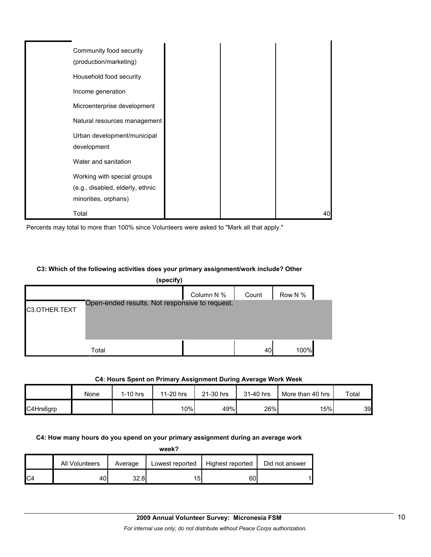| Community food security<br>(production/marketing) |  |    |
|---------------------------------------------------|--|----|
| Household food security                           |  |    |
| Income generation                                 |  |    |
| Microenterprise development                       |  |    |
| Natural resources management                      |  |    |
| Urban development/municipal<br>development        |  |    |
| Water and sanitation                              |  |    |
| Working with special groups                       |  |    |
| (e.g., disabled, elderly, ethnic                  |  |    |
| minorities, orphans)                              |  |    |
| Total                                             |  | 40 |

Percents may total to more than 100% since Volunteers were asked to "Mark all that apply."

#### **C3: Which of the following activities does your primary assignment/work include? Other**

|               | (specify)                                      |            |       |         |  |
|---------------|------------------------------------------------|------------|-------|---------|--|
|               |                                                | Column N % | Count | Row N % |  |
| C3.OTHER.TEXT | Open-ended results. Not responsive to request. |            |       |         |  |
|               |                                                |            |       |         |  |
|               | Total                                          |            | 40    | 100%    |  |

#### **C4: Hours Spent on Primary Assignment During Average Work Week**

|           | None | $1-10$ hrs | 11-20 hrs | 21-30 hrs | 31-40 hrs | More than 40 hrs | $\tau$ otal |
|-----------|------|------------|-----------|-----------|-----------|------------------|-------------|
| C4Hrs6grp |      |            | 10%       | 49%       | 26%       | 15%              | 39          |

#### **C4: How many hours do you spend on your primary assignment during an average work**

**week?**

|     | All Volunteers | Average | Lowest reported | Highest reported | Did not answer |
|-----|----------------|---------|-----------------|------------------|----------------|
| IC4 | 40.            | 32.81   | וסו             | 60               |                |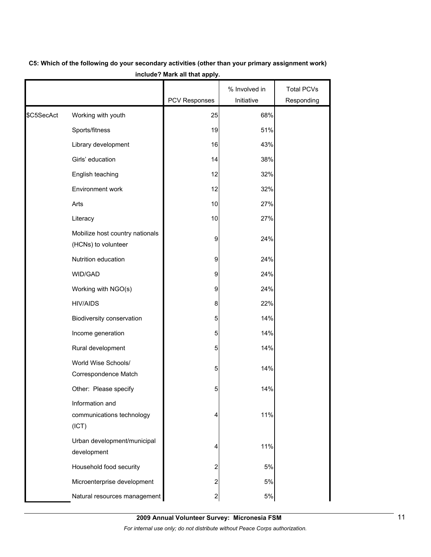|            |                                                        | PCV Responses           | % Involved in<br>Initiative | <b>Total PCVs</b><br>Responding |
|------------|--------------------------------------------------------|-------------------------|-----------------------------|---------------------------------|
|            |                                                        |                         |                             |                                 |
| \$C5SecAct | Working with youth                                     | 25                      | 68%                         |                                 |
|            | Sports/fitness                                         | 19                      | 51%                         |                                 |
|            | Library development                                    | 16                      | 43%                         |                                 |
|            | Girls' education                                       | 14                      | 38%                         |                                 |
|            | English teaching                                       | 12                      | 32%                         |                                 |
|            | Environment work                                       | 12                      | 32%                         |                                 |
|            | Arts                                                   | 10                      | 27%                         |                                 |
|            | Literacy                                               | 10                      | 27%                         |                                 |
|            | Mobilize host country nationals<br>(HCNs) to volunteer | 9                       | 24%                         |                                 |
|            | Nutrition education                                    | 9                       | 24%                         |                                 |
|            | WID/GAD                                                | 9                       | 24%                         |                                 |
|            | Working with NGO(s)                                    | 9                       | 24%                         |                                 |
|            | <b>HIV/AIDS</b>                                        | 8                       | 22%                         |                                 |
|            | Biodiversity conservation                              | 5                       | 14%                         |                                 |
|            | Income generation                                      | 5                       | 14%                         |                                 |
|            | Rural development                                      | 5                       | 14%                         |                                 |
|            | World Wise Schools/<br>Correspondence Match            | 5                       | 14%                         |                                 |
|            | Other: Please specify                                  | 5                       | 14%                         |                                 |
|            | Information and<br>communications technology<br>(ICT)  | 4                       | 11%                         |                                 |
|            | Urban development/municipal<br>development             | 4                       | 11%                         |                                 |
|            | Household food security                                | $\overline{c}$          | 5%                          |                                 |
|            | Microenterprise development                            | $\overline{c}$          | 5%                          |                                 |
|            | Natural resources management                           | $\overline{\mathbf{c}}$ | $5\%$                       |                                 |

# **C5: Which of the following do your secondary activities (other than your primary assignment work) include? Mark all that apply.**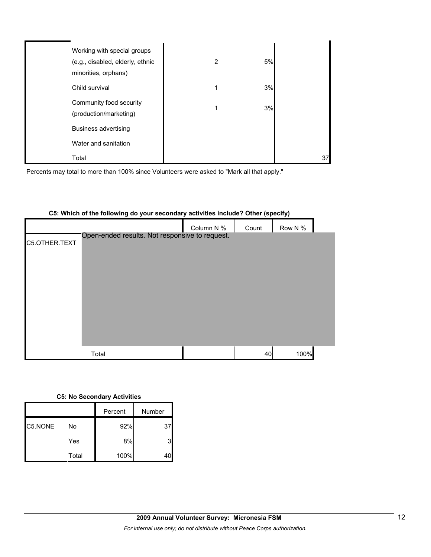| Working with special groups<br>(e.g., disabled, elderly, ethnic<br>minorities, orphans) | 2 | 5% |    |
|-----------------------------------------------------------------------------------------|---|----|----|
| Child survival                                                                          |   | 3% |    |
| Community food security<br>(production/marketing)                                       |   | 3% |    |
| <b>Business advertising</b>                                                             |   |    |    |
| Water and sanitation                                                                    |   |    |    |
| Total                                                                                   |   |    | 37 |

Percents may total to more than 100% since Volunteers were asked to "Mark all that apply."

|               |                                                | Column N % | Count | Row N % |  |
|---------------|------------------------------------------------|------------|-------|---------|--|
| C5.OTHER.TEXT | Open-ended results. Not responsive to request. |            |       |         |  |
|               |                                                |            |       |         |  |
|               |                                                |            |       |         |  |
|               |                                                |            |       |         |  |
|               |                                                |            |       |         |  |
|               |                                                |            |       |         |  |
|               |                                                |            |       |         |  |
|               |                                                |            |       |         |  |
|               | Total                                          |            | 40    | 100%    |  |

#### **C5: Which of the following do your secondary activities include? Other (specify)**

#### **C5: No Secondary Activities**

|         |       | Percent | Number |
|---------|-------|---------|--------|
| C5.NONE | No    | 92%     | 37     |
|         | Yes   | 8%      |        |
|         | Total | 100%    |        |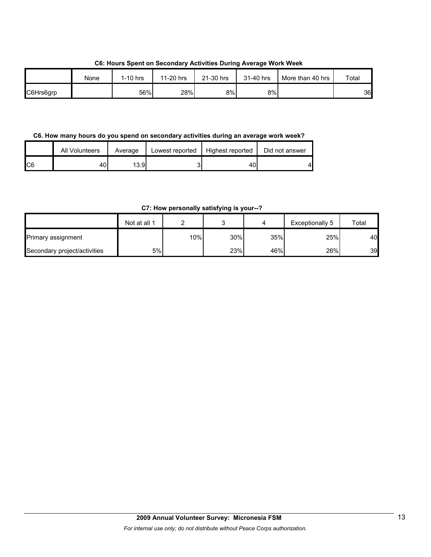**C6: Hours Spent on Secondary Activities During Average Work Week**

|           | None | I-10 hrs | 11-20 hrs | 21-30 hrs | 31-40 hrs | More than 40 hrs | Total |
|-----------|------|----------|-----------|-----------|-----------|------------------|-------|
| C6Hrs6grp |      | 56%      | 28%       | 8%        | 8%l       |                  | 36    |

**C6. How many hours do you spend on secondary activities during an average work week?**

|     | All Volunteers | Average | Lowest reported | Highest reported | Did not answer |
|-----|----------------|---------|-----------------|------------------|----------------|
| IC6 | 40             | 13.91   |                 | 40               |                |

**C7: How personally satisfying is your--?**

|                              | Not at all 1 |        |     |     | Exceptionally 5 | Total |
|------------------------------|--------------|--------|-----|-----|-----------------|-------|
| Primary assignment           |              | $10\%$ | 30% | 35% | 25%             | 40    |
| Secondary project/activities | 5%I          |        | 23% | 46% | 26%             | 39    |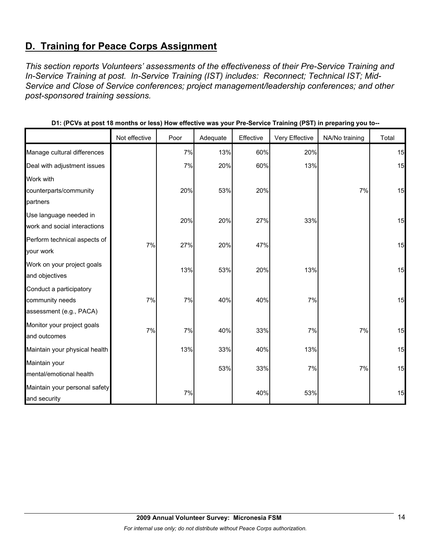# **D. Training for Peace Corps Assignment**

*This section reports Volunteers' assessments of the effectiveness of their Pre-Service Training and In-Service Training at post. In-Service Training (IST) includes: Reconnect; Technical IST; Mid-Service and Close of Service conferences; project management/leadership conferences; and other post-sponsored training sessions.* 

|                               | Not effective | Poor | Adequate | Effective | Very Effective | NA/No training | Total |
|-------------------------------|---------------|------|----------|-----------|----------------|----------------|-------|
| Manage cultural differences   |               | 7%   | 13%      | 60%       | 20%            |                | 15    |
| Deal with adjustment issues   |               | 7%   | 20%      | 60%       | 13%            |                | 15    |
| Work with                     |               |      |          |           |                |                |       |
| counterparts/community        |               | 20%  | 53%      | 20%       |                | 7%             | 15    |
| partners                      |               |      |          |           |                |                |       |
| Use language needed in        |               | 20%  | 20%      | 27%       | 33%            |                | 15    |
| work and social interactions  |               |      |          |           |                |                |       |
| Perform technical aspects of  | 7%            | 27%  | 20%      | 47%       |                |                | 15    |
| your work                     |               |      |          |           |                |                |       |
| Work on your project goals    |               | 13%  | 53%      | 20%       | 13%            |                | 15    |
| and objectives                |               |      |          |           |                |                |       |
| Conduct a participatory       |               |      |          |           |                |                |       |
| community needs               | 7%            | 7%   | 40%      | 40%       | 7%             |                | 15    |
| assessment (e.g., PACA)       |               |      |          |           |                |                |       |
| Monitor your project goals    | 7%            | 7%   | 40%      | 33%       | 7%             | 7%             | 15    |
| and outcomes                  |               |      |          |           |                |                |       |
| Maintain your physical health |               | 13%  | 33%      | 40%       | 13%            |                | 15    |
| Maintain your                 |               |      |          |           |                |                |       |
| mental/emotional health       |               |      | 53%      | 33%       | 7%             | 7%             | 15    |
| Maintain your personal safety |               |      |          |           |                |                |       |
| and security                  |               | 7%   |          | 40%       | 53%            |                | 15    |

|  | D1: (PCVs at post 18 months or less) How effective was your Pre-Service Training (PST) in preparing you to-- |
|--|--------------------------------------------------------------------------------------------------------------|
|--|--------------------------------------------------------------------------------------------------------------|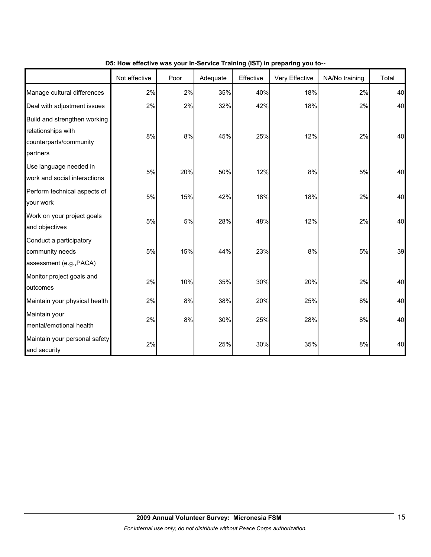|                                                                                          | Not effective | Poor | Adequate | Effective | Very Effective | NA/No training | Total |
|------------------------------------------------------------------------------------------|---------------|------|----------|-----------|----------------|----------------|-------|
| Manage cultural differences                                                              | 2%            | 2%   | 35%      | 40%       | 18%            | 2%             | 40    |
| Deal with adjustment issues                                                              | 2%            | 2%   | 32%      | 42%       | 18%            | 2%             | 40    |
| Build and strengthen working<br>relationships with<br>counterparts/community<br>partners | 8%            | 8%   | 45%      | 25%       | 12%            | 2%             | 40    |
| Use language needed in<br>work and social interactions                                   | 5%            | 20%  | 50%      | 12%       | 8%             | 5%             | 40    |
| Perform technical aspects of<br>your work                                                | 5%            | 15%  | 42%      | 18%       | 18%            | 2%             | 40    |
| Work on your project goals<br>and objectives                                             | 5%            | 5%   | 28%      | 48%       | 12%            | 2%             | 40    |
| Conduct a participatory<br>community needs<br>assessment (e.g., PACA)                    | 5%            | 15%  | 44%      | 23%       | 8%             | 5%             | 39    |
| Monitor project goals and<br>outcomes                                                    | 2%            | 10%  | 35%      | 30%       | 20%            | 2%             | 40    |
| Maintain your physical health                                                            | 2%            | 8%   | 38%      | 20%       | 25%            | 8%             | 40    |
| Maintain your<br>mental/emotional health                                                 | 2%            | 8%   | 30%      | 25%       | 28%            | 8%             | 40    |
| Maintain your personal safety<br>and security                                            | 2%            |      | 25%      | 30%       | 35%            | 8%             | 40    |

**D5: How effective was your In-Service Training (IST) in preparing you to--**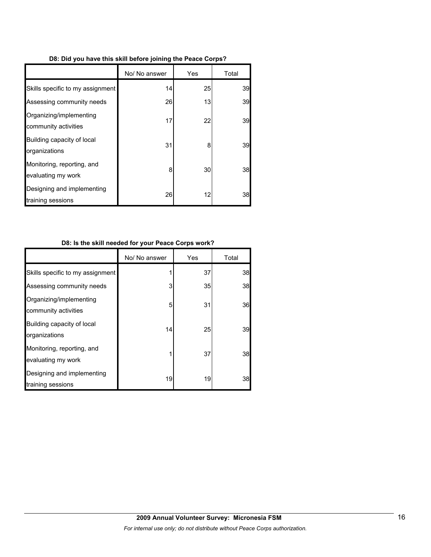| D8: Did you have this skill before joining the Peace Corps? |  |
|-------------------------------------------------------------|--|
|-------------------------------------------------------------|--|

|                                                  | No/ No answer | Yes | Total |
|--------------------------------------------------|---------------|-----|-------|
| Skills specific to my assignment                 | 14            | 25  | 39    |
| Assessing community needs                        | 26            | 13  | 39    |
| Organizing/implementing<br>community activities  | 17            | 22  | 39    |
| Building capacity of local<br>organizations      | 31            | 8   | 39    |
| Monitoring, reporting, and<br>evaluating my work | 8             | 30  | 38    |
| Designing and implementing<br>training sessions  | 26            | 12  | 38    |

### **D8: Is the skill needed for your Peace Corps work?**

|                                                  | No/ No answer | Yes | Total |
|--------------------------------------------------|---------------|-----|-------|
| Skills specific to my assignment                 |               | 37  | 38    |
| Assessing community needs                        | 3             | 35  | 38    |
| Organizing/implementing<br>community activities  | 5             | 31  | 36    |
| Building capacity of local<br>organizations      | 14            | 25  | 39    |
| Monitoring, reporting, and<br>evaluating my work |               | 37  | 38    |
| Designing and implementing<br>training sessions  | 19            | 19  | 38    |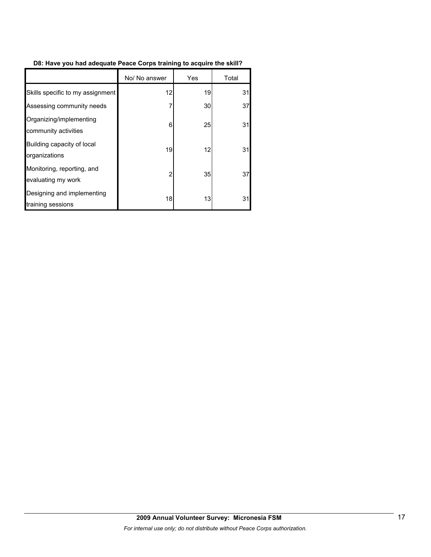### **D8: Have you had adequate Peace Corps training to acquire the skill?**

|                                                  | No/ No answer | Yes | Total |
|--------------------------------------------------|---------------|-----|-------|
| Skills specific to my assignment                 | 12            | 19  | 31    |
| Assessing community needs                        | 7             | 30  | 37    |
| Organizing/implementing<br>community activities  | 6             | 25  | 31    |
| Building capacity of local<br>organizations      | 19            | 12  | 31    |
| Monitoring, reporting, and<br>evaluating my work | 2             | 35  | 37    |
| Designing and implementing<br>training sessions  | 18            | 13  | 31    |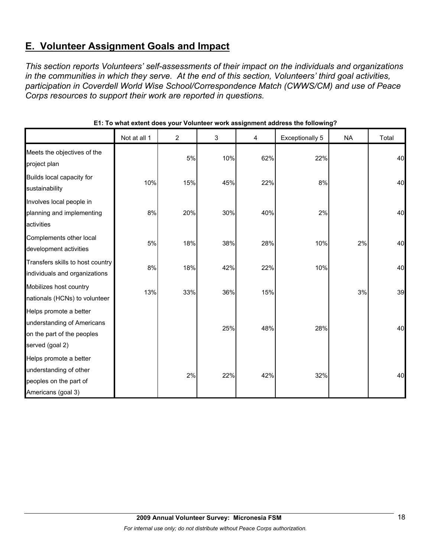# **E. Volunteer Assignment Goals and Impact**

*This section reports Volunteers' self-assessments of their impact on the individuals and organizations in the communities in which they serve. At the end of this section, Volunteers' third goal activities, participation in Coverdell World Wise School/Correspondence Match (CWWS/CM) and use of Peace Corps resources to support their work are reported in questions.* 

|                                                                                                       | Not at all 1 | $\overline{2}$ | 3   | 4   | <b>Exceptionally 5</b> | <b>NA</b> | Total |
|-------------------------------------------------------------------------------------------------------|--------------|----------------|-----|-----|------------------------|-----------|-------|
| Meets the objectives of the<br>project plan                                                           |              | 5%             | 10% | 62% | 22%                    |           | 40    |
| Builds local capacity for<br>sustainability                                                           | 10%          | 15%            | 45% | 22% | 8%                     |           | 40    |
| Involves local people in<br>planning and implementing<br>activities                                   | 8%           | 20%            | 30% | 40% | 2%                     |           | 40    |
| Complements other local<br>development activities                                                     | 5%           | 18%            | 38% | 28% | 10%                    | 2%        | 40    |
| Transfers skills to host country<br>individuals and organizations                                     | 8%           | 18%            | 42% | 22% | 10%                    |           | 40    |
| Mobilizes host country<br>nationals (HCNs) to volunteer                                               | 13%          | 33%            | 36% | 15% |                        | 3%        | 39    |
| Helps promote a better<br>understanding of Americans<br>on the part of the peoples<br>served (goal 2) |              |                | 25% | 48% | 28%                    |           | 40    |
| Helps promote a better<br>understanding of other<br>peoples on the part of<br>Americans (goal 3)      |              | 2%             | 22% | 42% | 32%                    |           | 40    |

#### **E1: To what extent does your Volunteer work assignment address the following?**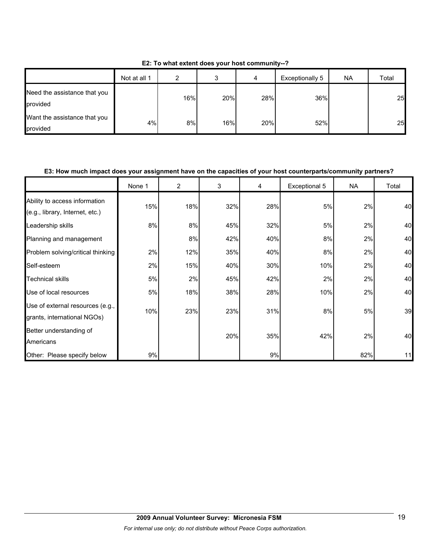|                                          | Not at all 1 | ົ   | ◠<br>c | 4   | Exceptionally 5 | <b>NA</b> | Total |
|------------------------------------------|--------------|-----|--------|-----|-----------------|-----------|-------|
| Need the assistance that you<br>provided |              | 16% | 20%    | 28% | 36%             |           | 25    |
| Want the assistance that you<br>provided | 4%           | 8%  | 16%    | 20% | 52%             |           | 25    |

**E2: To what extent does your host community--?**

#### **E3: How much impact does your assignment have on the capacities of your host counterparts/community partners?**

|                                                                  | None 1 | $\overline{2}$ | 3   | 4   | Exceptional 5 | NA. | Total |
|------------------------------------------------------------------|--------|----------------|-----|-----|---------------|-----|-------|
| Ability to access information<br>(e.g., library, Internet, etc.) | 15%    | 18%            | 32% | 28% | 5%            | 2%  | 40    |
| Leadership skills                                                | 8%     | 8%             | 45% | 32% | 5%            | 2%  | 40    |
| Planning and management                                          |        | 8%             | 42% | 40% | 8%            | 2%  | 40    |
| Problem solving/critical thinking                                | 2%     | 12%            | 35% | 40% | 8%            | 2%  | 40    |
| Self-esteem                                                      | 2%     | 15%            | 40% | 30% | 10%           | 2%  | 40    |
| <b>Technical skills</b>                                          | 5%     | 2%             | 45% | 42% | 2%            | 2%  | 40    |
| Use of local resources                                           | 5%     | 18%            | 38% | 28% | 10%           | 2%  | 40    |
| Use of external resources (e.g.,<br>grants, international NGOs)  | 10%    | 23%            | 23% | 31% | 8%            | 5%  | 39    |
| Better understanding of<br>Americans                             |        |                | 20% | 35% | 42%           | 2%  | 40    |
| Other: Please specify below                                      | 9%     |                |     | 9%  |               | 82% | 11    |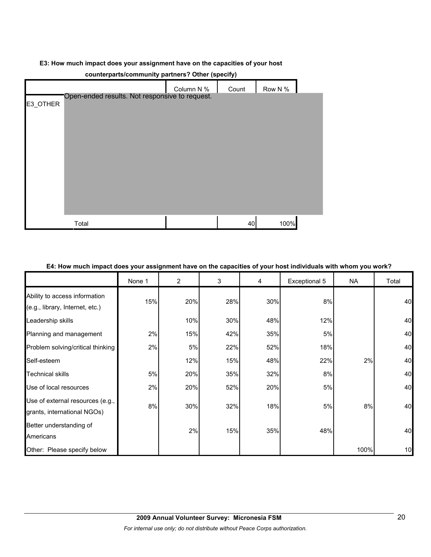#### **E3: How much impact does your assignment have on the capacities of your host**

| counterparts/community partners? Other (specify) |                                                |            |       |         |  |  |  |  |
|--------------------------------------------------|------------------------------------------------|------------|-------|---------|--|--|--|--|
|                                                  |                                                | Column N % | Count | Row N % |  |  |  |  |
| E3_OTHER                                         | Open-ended results. Not responsive to request. |            |       |         |  |  |  |  |
|                                                  |                                                |            |       |         |  |  |  |  |
|                                                  |                                                |            |       |         |  |  |  |  |
|                                                  |                                                |            |       |         |  |  |  |  |
|                                                  |                                                |            |       |         |  |  |  |  |
|                                                  |                                                |            |       |         |  |  |  |  |
|                                                  |                                                |            |       |         |  |  |  |  |
|                                                  |                                                |            |       |         |  |  |  |  |
|                                                  |                                                |            |       |         |  |  |  |  |
|                                                  |                                                |            |       |         |  |  |  |  |
|                                                  | Total                                          |            | 40    | 100%    |  |  |  |  |

#### **E4: How much impact does your assignment have on the capacities of your host individuals with whom you work?**

|                                                                  | None 1 | $\overline{2}$ | 3   | 4   | Exceptional 5 | <b>NA</b> | Total |
|------------------------------------------------------------------|--------|----------------|-----|-----|---------------|-----------|-------|
| Ability to access information<br>(e.g., library, Internet, etc.) | 15%    | 20%            | 28% | 30% | 8%            |           | 40    |
| Leadership skills                                                |        | 10%            | 30% | 48% | 12%           |           | 40    |
| Planning and management                                          | 2%     | 15%            | 42% | 35% | 5%            |           | 40    |
| Problem solving/critical thinking                                | 2%     | 5%             | 22% | 52% | 18%           |           | 40    |
| Self-esteem                                                      |        | 12%            | 15% | 48% | 22%           | 2%        | 40    |
| <b>Technical skills</b>                                          | 5%     | 20%            | 35% | 32% | 8%            |           | 40    |
| Use of local resources                                           | 2%     | 20%            | 52% | 20% | 5%            |           | 40    |
| Use of external resources (e.g.,<br>grants, international NGOs)  | 8%     | 30%            | 32% | 18% | 5%            | 8%        | 40    |
| Better understanding of<br>Americans                             |        | 2%             | 15% | 35% | 48%           |           | 40    |
| Other: Please specify below                                      |        |                |     |     |               | 100%      | 10    |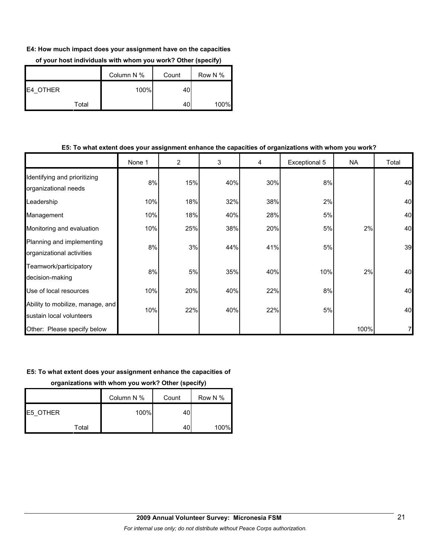#### **E4: How much impact does your assignment have on the capacities**

|                 |       | Column N % | Count | Row N % |
|-----------------|-------|------------|-------|---------|
| <b>E4 OTHER</b> |       | 100%       | 40    |         |
|                 | Total |            | 40    | 100%    |

### **of your host individuals with whom you work? Other (specify)**

#### **E5: To what extent does your assignment enhance the capacities of organizations with whom you work?**

|                                                              | None 1 | 2   | 3   | 4   | Exceptional 5 | NA   | Total          |
|--------------------------------------------------------------|--------|-----|-----|-----|---------------|------|----------------|
| Identifying and prioritizing<br>organizational needs         | 8%     | 15% | 40% | 30% | 8%            |      | 40             |
| Leadership                                                   | 10%    | 18% | 32% | 38% | 2%            |      | 40             |
| Management                                                   | 10%    | 18% | 40% | 28% | 5%            |      | 40             |
| Monitoring and evaluation                                    | 10%    | 25% | 38% | 20% | 5%            | 2%   | 40             |
| Planning and implementing<br>organizational activities       | 8%     | 3%  | 44% | 41% | 5%            |      | 39             |
| Teamwork/participatory<br>decision-making                    | 8%     | 5%  | 35% | 40% | 10%           | 2%   | 40             |
| Use of local resources                                       | 10%    | 20% | 40% | 22% | 8%            |      | 40             |
| Ability to mobilize, manage, and<br>sustain local volunteers | 10%    | 22% | 40% | 22% | 5%            |      | 40             |
| Other: Please specify below                                  |        |     |     |     |               | 100% | $\overline{7}$ |

#### **E5: To what extent does your assignment enhance the capacities of**

**organizations with whom you work? Other (specify)**

|          | Column N % | Count | Row N % |
|----------|------------|-------|---------|
| E5 OTHER | 100%       | 40l   |         |
| Total    |            | 40    | 100%    |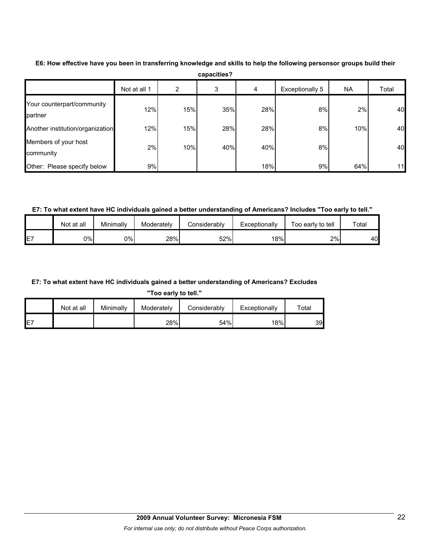|                                       | Not at all 1 | 2   | 3   | 4   | Exceptionally 5 | NA  | Total |
|---------------------------------------|--------------|-----|-----|-----|-----------------|-----|-------|
| Your counterpart/community<br>partner | 12%          | 15% | 35% | 28% | 8%              | 2%  | 40    |
| Another institution/organization      | 12%          | 15% | 28% | 28% | 8%              | 10% | 40    |
| Members of your host<br>community     | 2%           | 10% | 40% | 40% | 8%              |     | 40    |
| Other: Please specify below           | 9%           |     |     | 18% | 9%              | 64% | 11    |

**E6: How effective have you been in transferring knowledge and skills to help the following personsor groups build their capacities?**

**E7: To what extent have HC individuals gained a better understanding of Americans? Includes "Too early to tell."**

|    | Not at all | Minimally | Moderately | Considerabl∨ | Exceptionally | Foo early to tell | Total |
|----|------------|-----------|------------|--------------|---------------|-------------------|-------|
| E7 | 0%l        | 0%        | 28%        | 52%          | 18%           | 2%                | 40    |

#### **E7: To what extent have HC individuals gained a better understanding of Americans? Excludes**

**"Too early to tell."**

|     | Not at all | Minimally | Moderately | Considerablv | Exceptionally | $\tau$ otal |
|-----|------------|-----------|------------|--------------|---------------|-------------|
| IE7 |            |           | 28%        | 54%          | 18%           | 39          |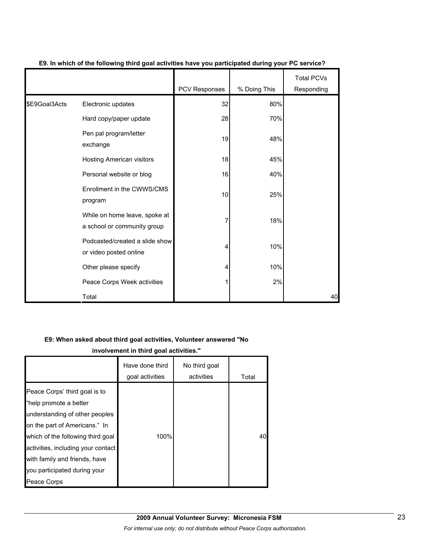|               |                                                              | PCV Responses | % Doing This | <b>Total PCVs</b><br>Responding |
|---------------|--------------------------------------------------------------|---------------|--------------|---------------------------------|
| \$E9Goal3Acts | Electronic updates                                           | 32            | 80%          |                                 |
|               | Hard copy/paper update                                       | 28            | 70%          |                                 |
|               | Pen pal program/letter<br>exchange                           | 19            | 48%          |                                 |
|               | Hosting American visitors                                    | 18            | 45%          |                                 |
|               | Personal website or blog                                     | 16            | 40%          |                                 |
|               | Enrollment in the CWWS/CMS<br>program                        | 10            | 25%          |                                 |
|               | While on home leave, spoke at<br>a school or community group | 7             | 18%          |                                 |
|               | Podcasted/created a slide show<br>or video posted online     | 4             | 10%          |                                 |
|               | Other please specify                                         | 4             | 10%          |                                 |
|               | Peace Corps Week activities                                  |               | 2%           |                                 |
|               | Total                                                        |               |              | 40                              |

#### **E9. In which of the following third goal activities have you participated during your PC service?**

#### **E9: When asked about third goal activities, Volunteer answered "No**

**involvement in third goal activities."** 

|                                                                                                                                                                                                                                                                                       | Have done third<br>goal activities | No third goal<br>activities | Total |
|---------------------------------------------------------------------------------------------------------------------------------------------------------------------------------------------------------------------------------------------------------------------------------------|------------------------------------|-----------------------------|-------|
| Peace Corps' third goal is to<br>"help promote a better<br>understanding of other peoples<br>on the part of Americans." In<br>which of the following third goal<br>activities, including your contact<br>with family and friends, have<br>you participated during your<br>Peace Corps | 100%                               |                             | 40    |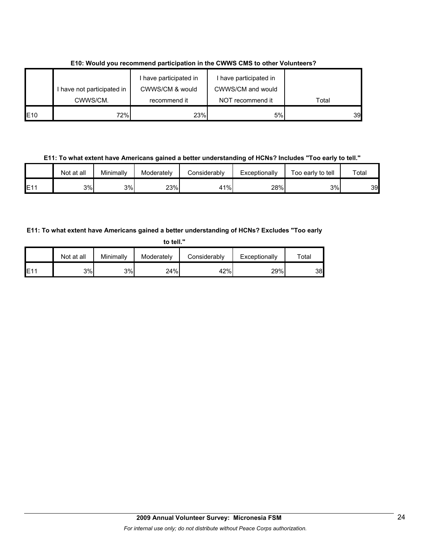|             |                            | I have participated in | I have participated in |       |
|-------------|----------------------------|------------------------|------------------------|-------|
|             | I have not participated in | CWWS/CM & would        | CWWS/CM and would      |       |
|             | CWWS/CM.                   | recommend it           | NOT recommend it       | Total |
| <b>IE10</b> | 72%1                       | 23%                    | 5%                     | 39    |

**E10: Would you recommend participation in the CWWS CMS to other Volunteers?**

**E11: To what extent have Americans gained a better understanding of HCNs? Includes "Too early to tell."**

|     | Not at all | Minimallv | Moderately | Considerably | Exceptionally | Too early to tell | Total |
|-----|------------|-----------|------------|--------------|---------------|-------------------|-------|
| E11 | 3%I        | 3%        | 23%        | 41%          | 28%           | 3%                | 39    |

### **E11: To what extent have Americans gained a better understanding of HCNs? Excludes "Too early**

| to tell." |            |           |            |              |               |             |  |  |  |
|-----------|------------|-----------|------------|--------------|---------------|-------------|--|--|--|
|           | Not at all | Minimally | Moderately | Considerably | Exceptionally | $\tau$ otal |  |  |  |
| E11       | 3%         | 3%        | 24%        | 42%          | 29%           | 38          |  |  |  |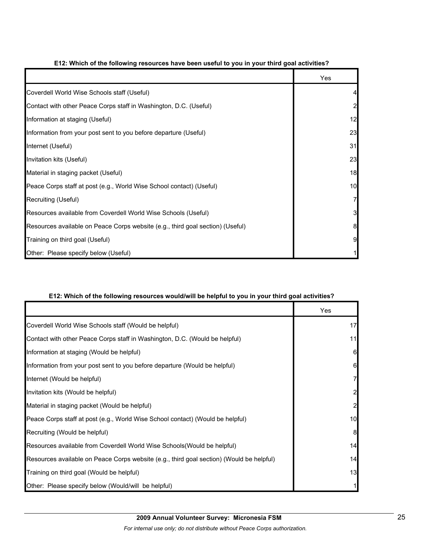|                                                                                | Yes            |
|--------------------------------------------------------------------------------|----------------|
| Coverdell World Wise Schools staff (Useful)                                    | 4              |
| Contact with other Peace Corps staff in Washington, D.C. (Useful)              | $\overline{a}$ |
| Information at staging (Useful)                                                | 12             |
| Information from your post sent to you before departure (Useful)               | 23             |
| Internet (Useful)                                                              | 31             |
| Invitation kits (Useful)                                                       | 23             |
| Material in staging packet (Useful)                                            | 18             |
| Peace Corps staff at post (e.g., World Wise School contact) (Useful)           | 10             |
| Recruiting (Useful)                                                            | $\overline{7}$ |
| Resources available from Coverdell World Wise Schools (Useful)                 | 3              |
| Resources available on Peace Corps website (e.g., third goal section) (Useful) | 8              |
| Training on third goal (Useful)                                                | 9              |
| Other: Please specify below (Useful)                                           |                |

#### **E12: Which of the following resources have been useful to you in your third goal activities?**

#### **E12: Which of the following resources would/will be helpful to you in your third goal activities?**

|                                                                                          | Yes |
|------------------------------------------------------------------------------------------|-----|
| Coverdell World Wise Schools staff (Would be helpful)                                    | 17  |
| Contact with other Peace Corps staff in Washington, D.C. (Would be helpful)              | 11  |
| Information at staging (Would be helpful)                                                | 6   |
| Information from your post sent to you before departure (Would be helpful)               | 61  |
| Internet (Would be helpful)                                                              |     |
| Invitation kits (Would be helpful)                                                       |     |
| Material in staging packet (Would be helpful)                                            |     |
| Peace Corps staff at post (e.g., World Wise School contact) (Would be helpful)           | 10  |
| Recruiting (Would be helpful)                                                            | 8   |
| Resources available from Coverdell World Wise Schools (Would be helpful)                 | 14  |
| Resources available on Peace Corps website (e.g., third goal section) (Would be helpful) | 14  |
| Training on third goal (Would be helpful)                                                | 13  |
| Other: Please specify below (Would/will be helpful)                                      |     |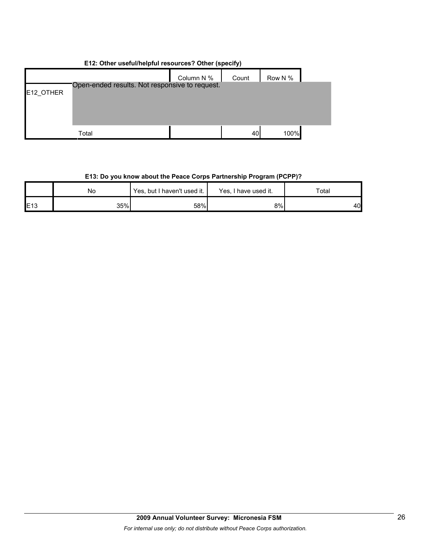| E12: Other useful/helpful resources? Other (specify) |                                                |            |       |         |  |  |  |  |
|------------------------------------------------------|------------------------------------------------|------------|-------|---------|--|--|--|--|
| E12_OTHER                                            | Open-ended results. Not responsive to request. | Column N % | Count | Row N % |  |  |  |  |
|                                                      | Total                                          |            | 40    | 100%    |  |  |  |  |

### **E13: Do you know about the Peace Corps Partnership Program (PCPP)?**

|                 | No  | Yes, but I haven't used it. | Yes, I have used it. | $\tau$ otai |  |
|-----------------|-----|-----------------------------|----------------------|-------------|--|
| E <sub>13</sub> | 35% | 58%                         | 8%                   | 40 <b>I</b> |  |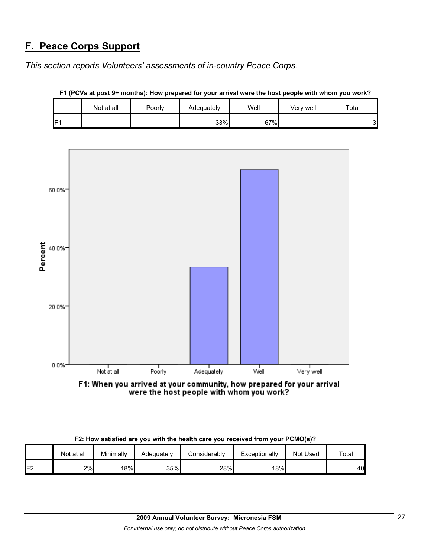# **F. Peace Corps Support**

*This section reports Volunteers' assessments of in-country Peace Corps.* 

|                 | Not at all | Poorly | Adequately | Well | Very well | Total  |
|-----------------|------------|--------|------------|------|-----------|--------|
| IF <sub>1</sub> |            |        | 33%        | 67%  |           | ⌒<br>ີ |

**F1 (PCVs at post 9+ months): How prepared for your arrival were the host people with whom you work?**



F1: When you arrived at your community, how prepared for your arrival<br>were the host people with whom you work?

| F2: How satisfied are you with the health care you received from your PCMO(s)? |  |
|--------------------------------------------------------------------------------|--|
|--------------------------------------------------------------------------------|--|

|     | Not at all | Minimally | Adeauatelv | Considerably | Exceptionally | Not Used | Total |
|-----|------------|-----------|------------|--------------|---------------|----------|-------|
| IF2 | 2%         | 18%       | 35%        | 28%          | 18%           |          | 40    |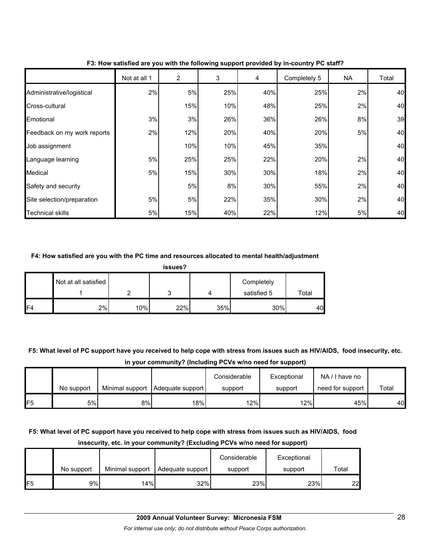|                             | Not at all 1 | 2   | 3   | 4   | Completely 5 | <b>NA</b> | Total |
|-----------------------------|--------------|-----|-----|-----|--------------|-----------|-------|
| Administrative/logistical   | 2%           | 5%  | 25% | 40% | 25%          | 2%        | 40    |
| Cross-cultural              |              | 15% | 10% | 48% | 25%          | 2%        | 40    |
| Emotional                   | 3%           | 3%  | 26% | 36% | 26%          | 8%        | 39    |
| Feedback on my work reports | 2%           | 12% | 20% | 40% | 20%          | 5%        | 40    |
| Job assignment              |              | 10% | 10% | 45% | 35%          |           | 40    |
| Language learning           | 5%           | 25% | 25% | 22% | 20%          | 2%        | 40    |
| Medical                     | 5%           | 15% | 30% | 30% | 18%          | 2%        | 40    |
| Safety and security         |              | 5%  | 8%  | 30% | 55%          | 2%        | 40    |
| Site selection/preparation  | 5%           | 5%  | 22% | 35% | 30%          | 2%        | 40    |
| <b>Technical skills</b>     | $5%$         | 15% | 40% | 22% | 12%          | 5%        | 40    |

**F3: How satisfied are you with the following support provided by in-country PC staff?**

#### **F4: How satisfied are you with the PC time and resources allocated to mental health/adjustment**

|     | Not at all satisfied |     |     |     | Completely<br>satisfied 5 | Total |
|-----|----------------------|-----|-----|-----|---------------------------|-------|
| IF4 | 2%                   | 10% | 22% | 35% | 30%                       | 40    |

**F5: What level of PC support have you received to help cope with stress from issues such as HIV/AIDS, food insecurity, etc. in your community? (Including PCVs w/no need for support)**

|                 | No support | Minimal support | Adequate support | Considerable<br>support | Exceptional<br>support | NA/I have no<br>need for support | Total |
|-----------------|------------|-----------------|------------------|-------------------------|------------------------|----------------------------------|-------|
| IF <sub>5</sub> | 5%         | 8%              | 18%              | 12%                     | 12%                    | 45%                              | 40    |

### **F5: What level of PC support have you received to help cope with stress from issues such as HIV/AIDS, food insecurity, etc. in your community? (Excluding PCVs w/no need for support)**

|     |            |                 |                  | Considerable | Exceptional |       |
|-----|------------|-----------------|------------------|--------------|-------------|-------|
|     | No support | Minimal support | Adequate support | support      | support     | Total |
| IF5 | 9%I        | 14%             | 32%              | 23%          | 23%         | 22    |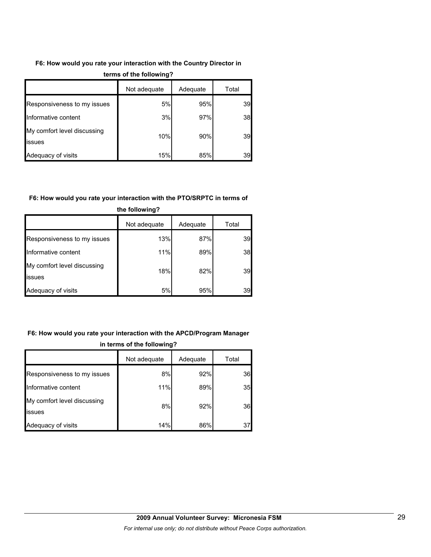#### **F6: How would you rate your interaction with the Country Director in**

|                                              | Not adequate | Adequate | Total |  |
|----------------------------------------------|--------------|----------|-------|--|
| Responsiveness to my issues                  | 5%           | 95%      | 39    |  |
| Informative content                          | 3%           | 97%      | 38    |  |
| My comfort level discussing<br><b>issues</b> | 10%          | 90%      | 39    |  |
| Adequacy of visits                           | 15%          | 85%      | 39    |  |

#### **terms of the following?**

#### **F6: How would you rate your interaction with the PTO/SRPTC in terms of**

|                                              | Not adequate | Adequate | Total |  |  |
|----------------------------------------------|--------------|----------|-------|--|--|
| Responsiveness to my issues                  | 13%          | 87%      | 39    |  |  |
| Informative content                          | 11%          | 89%      | 38    |  |  |
| My comfort level discussing<br><b>issues</b> | 18%          | 82%      | 39    |  |  |
| Adequacy of visits                           | 5%           | 95%      | 39    |  |  |

#### **the following?**

# **F6: How would you rate your interaction with the APCD/Program Manager in terms of the following?**

|                                       | Not adequate | Adequate | Total |
|---------------------------------------|--------------|----------|-------|
| Responsiveness to my issues           | 8%           | 92%      | 36    |
| Informative content                   | 11%          | 89%      | 35    |
| My comfort level discussing<br>issues | 8%           | 92%      | 36    |
| Adequacy of visits                    | 14%          | 86%      | 37    |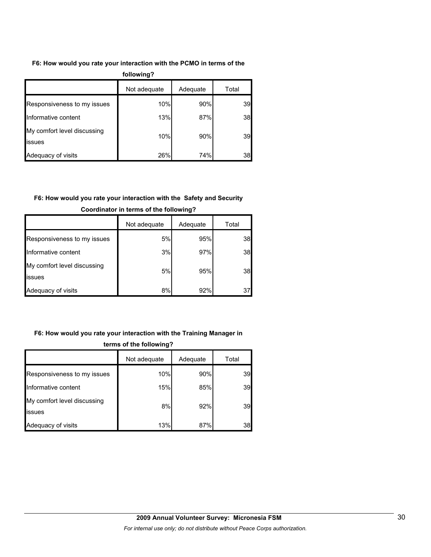#### **F6: How would you rate your interaction with the PCMO in terms of the**

| following?                            |              |          |       |  |
|---------------------------------------|--------------|----------|-------|--|
|                                       | Not adequate | Adequate | Total |  |
| Responsiveness to my issues           | 10%          | 90%      | 39    |  |
| Informative content                   | 13%          | 87%      | 38    |  |
| My comfort level discussing<br>issues | 10%          | 90%      | 39    |  |
| Adequacy of visits                    | 26%          | 74%      | 38    |  |

# **F6: How would you rate your interaction with the Safety and Security**

|                                       | Not adequate | Adequate | Total |
|---------------------------------------|--------------|----------|-------|
| Responsiveness to my issues           | 5%           | 95%      | 38    |
| Informative content                   | 3%           | 97%      | 38    |
| My comfort level discussing<br>issues | 5%           | 95%      | 38    |
| Adequacy of visits                    | 8%           | 92%      | 37    |

### **Coordinator in terms of the following?**

### **F6: How would you rate your interaction with the Training Manager in**

|                                       | Not adequate | Adequate | Total |  |
|---------------------------------------|--------------|----------|-------|--|
| Responsiveness to my issues           | 10%          | 90%      | 39    |  |
| Informative content                   | 15%          | 85%      | 39    |  |
| My comfort level discussing<br>issues | 8%           | 92%      | 39    |  |
| Adequacy of visits                    | 13%          | 87%      | 38    |  |

#### **terms of the following?**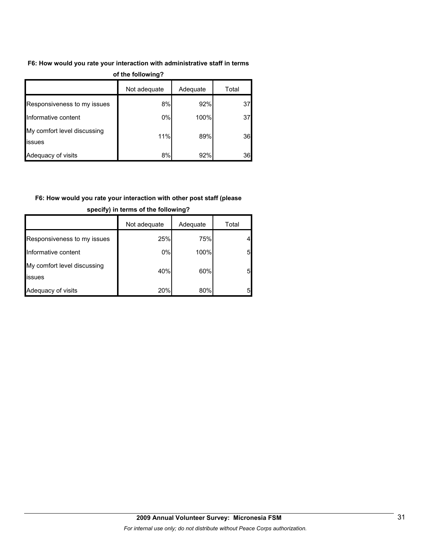#### **F6: How would you rate your interaction with administrative staff in terms**

| $\sim$                                        |              |          |       |  |  |
|-----------------------------------------------|--------------|----------|-------|--|--|
|                                               | Not adequate | Adequate | Total |  |  |
| Responsiveness to my issues                   | 8%           | 92%      | 37    |  |  |
| Informative content                           | 0%           | 100%     | 37    |  |  |
| My comfort level discussing<br><b>lissues</b> | 11%          | 89%      | 36    |  |  |
| Adequacy of visits                            | 8%           | 92%      | 36    |  |  |

#### **of the following?**

# **F6: How would you rate your interaction with other post staff (please**

|                                       | Not adequate | Adequate | Total |
|---------------------------------------|--------------|----------|-------|
| Responsiveness to my issues           | 25%          | 75%      |       |
| Informative content                   | $0\%$        | 100%     | 5     |
| My comfort level discussing<br>issues | 40%          | 60%      | 5     |
| Adequacy of visits                    | 20%          | 80%      | 5     |

#### **specify) in terms of the following?**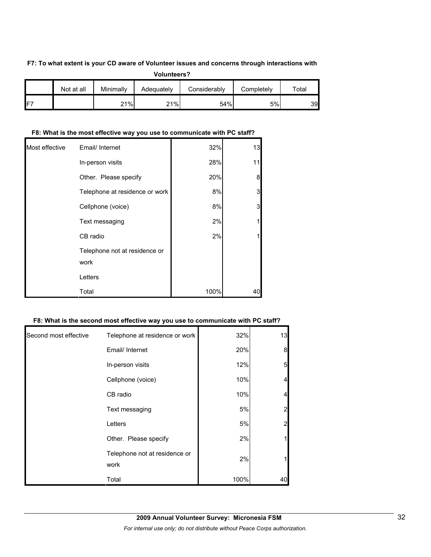#### **F7: To what extent is your CD aware of Volunteer issues and concerns through interactions with**

|                                                                                    | <b>Volunteers?</b> |     |     |     |    |    |  |  |  |  |  |
|------------------------------------------------------------------------------------|--------------------|-----|-----|-----|----|----|--|--|--|--|--|
| Minimally<br>Not at all<br>Considerably<br>Completely<br>Adequately<br>$\tau$ otal |                    |     |     |     |    |    |  |  |  |  |  |
| ıF7                                                                                |                    | 21% | 21% | 54% | 5% | 39 |  |  |  |  |  |

#### **F8: What is the most effective way you use to communicate with PC staff?**

| Most effective | Email/ Internet                       | 32%  | 13 |
|----------------|---------------------------------------|------|----|
|                | In-person visits                      | 28%  | 11 |
|                | Other. Please specify                 | 20%  | 8  |
|                | Telephone at residence or work        | 8%   | 3  |
|                | Cellphone (voice)                     | 8%   | 3  |
|                | Text messaging                        | 2%   |    |
|                | CB radio                              | 2%   |    |
|                | Telephone not at residence or<br>work |      |    |
|                | Letters                               |      |    |
|                | Total                                 | 100% | 40 |

#### **F8: What is the second most effective way you use to communicate with PC staff?**

| Second most effective | Telephone at residence or work        | 32%  | 13                      |
|-----------------------|---------------------------------------|------|-------------------------|
|                       | Email/ Internet                       | 20%  | 8                       |
|                       | In-person visits                      | 12%  | 5 <sub>l</sub>          |
|                       | Cellphone (voice)                     | 10%  | $\overline{\mathbf{4}}$ |
|                       | CB radio                              | 10%  | $\overline{\mathbf{4}}$ |
|                       | Text messaging                        | 5%   | $\overline{2}$          |
|                       | Letters                               | 5%   | $\overline{c}$          |
|                       | Other. Please specify                 | 2%   | 1                       |
|                       | Telephone not at residence or<br>work | 2%   | 1                       |
|                       | Total                                 | 100% | 40                      |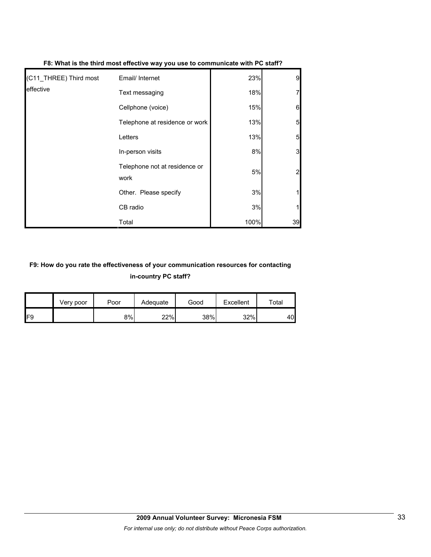| (C11_THREE) Third most | Email/ Internet                       | 23%  | 9               |
|------------------------|---------------------------------------|------|-----------------|
| leffective             | Text messaging                        | 18%  | 7               |
|                        | Cellphone (voice)                     | 15%  | $6 \mid$        |
|                        | Telephone at residence or work        | 13%  | $5\overline{a}$ |
|                        | Letters                               | 13%  | $5\overline{a}$ |
|                        | In-person visits                      | 8%   | $\mathbf{3}$    |
|                        | Telephone not at residence or<br>work | 5%   | $\overline{2}$  |
|                        | Other. Please specify                 | 3%   |                 |
|                        | CB radio                              | 3%   |                 |
|                        | Total                                 | 100% | 39              |

**F8: What is the third most effective way you use to communicate with PC staff?**

# **F9: How do you rate the effectiveness of your communication resources for contacting in-country PC staff?**

|                 | Very poor | Poor | Adequate | Good | Excellent | $\tau$ otal |
|-----------------|-----------|------|----------|------|-----------|-------------|
| IF <sub>9</sub> |           | 8%   | 22%      | 38%  | 32%       | 40          |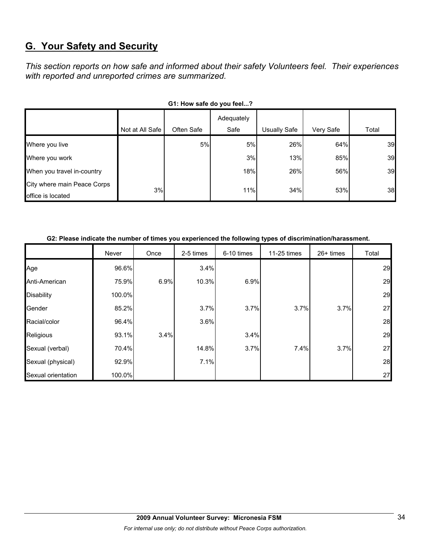# **G. Your Safety and Security**

*This section reports on how safe and informed about their safety Volunteers feel. Their experiences with reported and unreported crimes are summarized.* 

| OT. TOW SAIG UD YOU IGGI!                        |                 |            |                    |                     |           |       |  |  |  |  |
|--------------------------------------------------|-----------------|------------|--------------------|---------------------|-----------|-------|--|--|--|--|
|                                                  | Not at All Safe | Often Safe | Adequately<br>Safe | <b>Usually Safe</b> | Very Safe | Total |  |  |  |  |
| Where you live                                   |                 | 5%         | 5%                 | 26%                 | 64%       | 39    |  |  |  |  |
| Where you work                                   |                 |            | 3%                 | 13%                 | 85%       | 39    |  |  |  |  |
| When you travel in-country                       |                 |            | 18%                | 26%                 | 56%       | 39    |  |  |  |  |
| City where main Peace Corps<br>office is located | 3%              |            | 11%                | 34%                 | 53%       | 38    |  |  |  |  |

### G1: How safe do you feel.<sup>2</sup>

#### **G2: Please indicate the number of times you experienced the following types of discrimination/harassment.**

|                    | Never  | Once | 2-5 times | 6-10 times | 11-25 times | $26+$ times | Total |
|--------------------|--------|------|-----------|------------|-------------|-------------|-------|
| Age                | 96.6%  |      | 3.4%      |            |             |             | 29    |
| Anti-American      | 75.9%  | 6.9% | 10.3%     | 6.9%       |             |             | 29    |
| <b>Disability</b>  | 100.0% |      |           |            |             |             | 29    |
| Gender             | 85.2%  |      | 3.7%      | 3.7%       | 3.7%        | 3.7%        | 27    |
| Racial/color       | 96.4%  |      | 3.6%      |            |             |             | 28    |
| Religious          | 93.1%  | 3.4% |           | 3.4%       |             |             | 29    |
| Sexual (verbal)    | 70.4%  |      | 14.8%     | 3.7%       | 7.4%        | 3.7%        | 27    |
| Sexual (physical)  | 92.9%  |      | 7.1%      |            |             |             | 28    |
| Sexual orientation | 100.0% |      |           |            |             |             | 27    |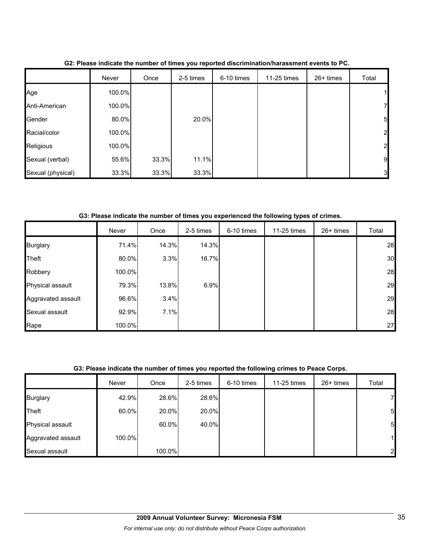|                   | Never  | Once  | 2-5 times | 6-10 times | 11-25 times | $26+$ times | Total          |
|-------------------|--------|-------|-----------|------------|-------------|-------------|----------------|
| Age               | 100.0% |       |           |            |             |             | 1              |
| Anti-American     | 100.0% |       |           |            |             |             | $\mathbf{z}$   |
| Gender            | 80.0%  |       | 20.0%     |            |             |             | 5 <sub>l</sub> |
| Racial/color      | 100.0% |       |           |            |             |             | $\overline{2}$ |
| Religious         | 100.0% |       |           |            |             |             | $\overline{2}$ |
| Sexual (verbal)   | 55.6%  | 33.3% | 11.1%     |            |             |             | 9              |
| Sexual (physical) | 33.3%  | 33.3% | 33.3%     |            |             |             | 3 <sub>l</sub> |

**G2: Please indicate the number of times you reported discrimination/harassment events to PC.**

**G3: Please indicate the number of times you experienced the following types of crimes.**

|                    | Never  | Once  | 2-5 times | 6-10 times | 11-25 times | 26+ times | Total |
|--------------------|--------|-------|-----------|------------|-------------|-----------|-------|
| <b>Burglary</b>    | 71.4%  | 14.3% | 14.3%     |            |             |           | 28    |
| Theft              | 80.0%  | 3.3%  | 16.7%     |            |             |           | 30    |
| Robbery            | 100.0% |       |           |            |             |           | 28    |
| Physical assault   | 79.3%  | 13.8% | 6.9%      |            |             |           | 29    |
| Aggravated assault | 96.6%  | 3.4%  |           |            |             |           | 29    |
| Sexual assault     | 92.9%  | 7.1%  |           |            |             |           | 28    |
| Rape               | 100.0% |       |           |            |             |           | 27    |

### **G3: Please indicate the number of times you reported the following crimes to Peace Corps.**

|                         | Never  | Once   | 2-5 times | 6-10 times | 11-25 times | $26+$ times | Total          |
|-------------------------|--------|--------|-----------|------------|-------------|-------------|----------------|
| <b>Burglary</b>         | 42.9%  | 28.6%  | 28.6%     |            |             |             | 71             |
| Theft                   | 60.0%  | 20.0%  | 20.0%     |            |             |             | 5              |
| <b>Physical assault</b> |        | 60.0%  | 40.0%     |            |             |             | 5              |
| Aggravated assault      | 100.0% |        |           |            |             |             | 1              |
| Sexual assault          |        | 100.0% |           |            |             |             | $\overline{2}$ |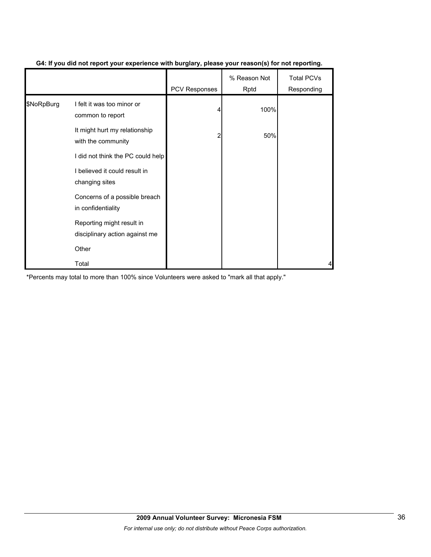|            |                                                             | <b>PCV Responses</b> | % Reason Not<br>Rptd | <b>Total PCVs</b><br>Responding |
|------------|-------------------------------------------------------------|----------------------|----------------------|---------------------------------|
| \$NoRpBurg | I felt it was too minor or<br>common to report              |                      | 100%                 |                                 |
|            | It might hurt my relationship<br>with the community         | 2                    | 50%                  |                                 |
|            | I did not think the PC could help                           |                      |                      |                                 |
|            | I believed it could result in<br>changing sites             |                      |                      |                                 |
|            | Concerns of a possible breach<br>in confidentiality         |                      |                      |                                 |
|            | Reporting might result in<br>disciplinary action against me |                      |                      |                                 |
|            | Other                                                       |                      |                      |                                 |
|            | Total                                                       |                      |                      |                                 |

#### **G4: If you did not report your experience with burglary, please your reason(s) for not reporting.**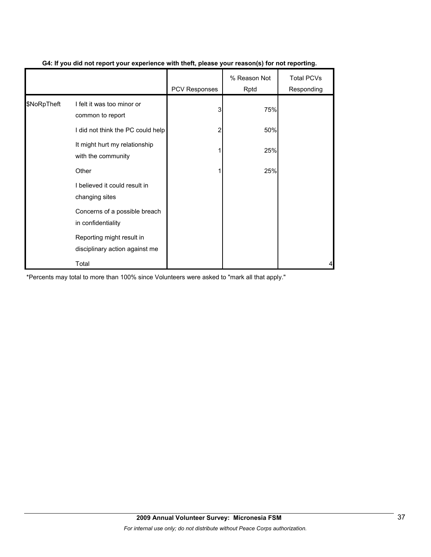|             |                                                             | PCV Responses | % Reason Not<br>Rptd | <b>Total PCVs</b><br>Responding |
|-------------|-------------------------------------------------------------|---------------|----------------------|---------------------------------|
| \$NoRpTheft | I felt it was too minor or<br>common to report              | 3             | 75%                  |                                 |
|             | I did not think the PC could help                           |               | 50%                  |                                 |
|             | It might hurt my relationship<br>with the community         |               | 25%                  |                                 |
|             | Other                                                       |               | 25%                  |                                 |
|             | I believed it could result in<br>changing sites             |               |                      |                                 |
|             | Concerns of a possible breach<br>in confidentiality         |               |                      |                                 |
|             | Reporting might result in<br>disciplinary action against me |               |                      |                                 |
|             | Total                                                       |               |                      |                                 |

#### **G4: If you did not report your experience with theft, please your reason(s) for not reporting.**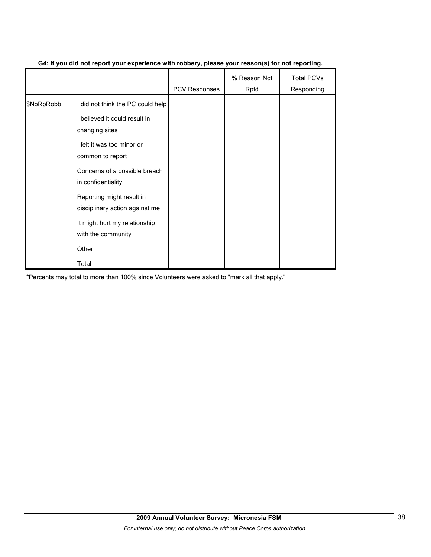|            |                                                             | <b>PCV Responses</b> | % Reason Not<br>Rptd | <b>Total PCVs</b><br>Responding |
|------------|-------------------------------------------------------------|----------------------|----------------------|---------------------------------|
| \$NoRpRobb | I did not think the PC could help                           |                      |                      |                                 |
|            | I believed it could result in<br>changing sites             |                      |                      |                                 |
|            | I felt it was too minor or<br>common to report              |                      |                      |                                 |
|            | Concerns of a possible breach<br>in confidentiality         |                      |                      |                                 |
|            | Reporting might result in<br>disciplinary action against me |                      |                      |                                 |
|            | It might hurt my relationship<br>with the community         |                      |                      |                                 |
|            | Other                                                       |                      |                      |                                 |
|            | Total                                                       |                      |                      |                                 |

#### **G4: If you did not report your experience with robbery, please your reason(s) for not reporting.**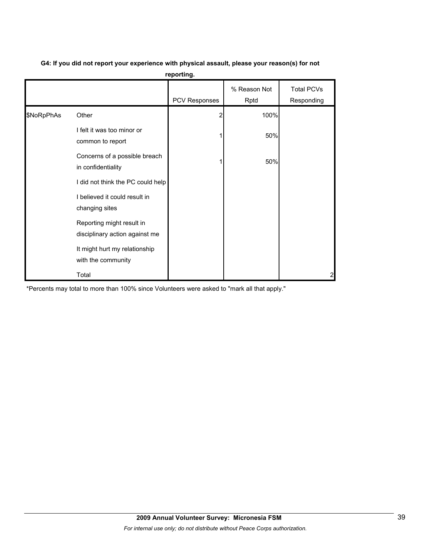**G4: If you did not report your experience with physical assault, please your reason(s) for not** 

| reporting. |  |  |  |
|------------|--|--|--|
|            |  |  |  |

|            |                                                             | PCV Responses | % Reason Not<br>Rptd | <b>Total PCVs</b><br>Responding |
|------------|-------------------------------------------------------------|---------------|----------------------|---------------------------------|
| \$NoRpPhAs | Other                                                       |               | 100%                 |                                 |
|            | I felt it was too minor or<br>common to report              |               | 50%                  |                                 |
|            | Concerns of a possible breach<br>in confidentiality         |               | 50%                  |                                 |
|            | I did not think the PC could help                           |               |                      |                                 |
|            | I believed it could result in<br>changing sites             |               |                      |                                 |
|            | Reporting might result in<br>disciplinary action against me |               |                      |                                 |
|            | It might hurt my relationship<br>with the community         |               |                      |                                 |
|            | Total                                                       |               |                      | $\overline{a}$                  |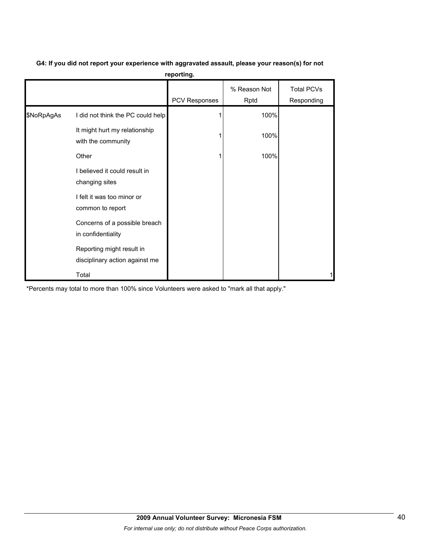|            |                                                             | .                    |                      |                                 |
|------------|-------------------------------------------------------------|----------------------|----------------------|---------------------------------|
|            |                                                             | <b>PCV Responses</b> | % Reason Not<br>Rptd | <b>Total PCVs</b><br>Responding |
| \$NoRpAgAs | I did not think the PC could help                           |                      | 100%                 |                                 |
|            | It might hurt my relationship<br>with the community         |                      | 100%                 |                                 |
|            | Other                                                       |                      | 100%                 |                                 |
|            | I believed it could result in<br>changing sites             |                      |                      |                                 |
|            | I felt it was too minor or<br>common to report              |                      |                      |                                 |
|            | Concerns of a possible breach<br>in confidentiality         |                      |                      |                                 |
|            | Reporting might result in<br>disciplinary action against me |                      |                      |                                 |
|            | Total                                                       |                      |                      |                                 |

### **G4: If you did not report your experience with aggravated assault, please your reason(s) for not reporting.**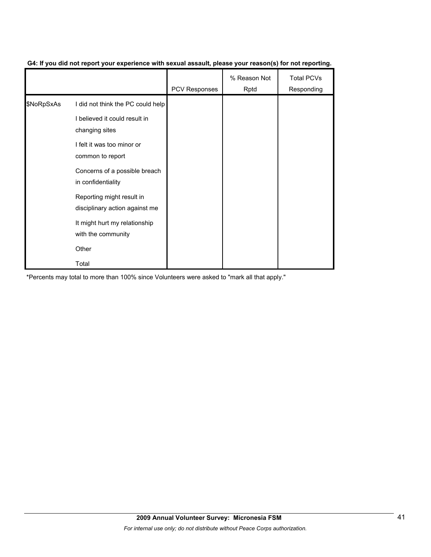|            |                                                             | PCV Responses | % Reason Not<br>Rptd | <b>Total PCVs</b><br>Responding |
|------------|-------------------------------------------------------------|---------------|----------------------|---------------------------------|
| \$NoRpSxAs | I did not think the PC could help                           |               |                      |                                 |
|            | I believed it could result in<br>changing sites             |               |                      |                                 |
|            | I felt it was too minor or<br>common to report              |               |                      |                                 |
|            | Concerns of a possible breach<br>in confidentiality         |               |                      |                                 |
|            | Reporting might result in<br>disciplinary action against me |               |                      |                                 |
|            | It might hurt my relationship<br>with the community         |               |                      |                                 |
|            | Other                                                       |               |                      |                                 |
|            | Total                                                       |               |                      |                                 |

#### **G4: If you did not report your experience with sexual assault, please your reason(s) for not reporting.**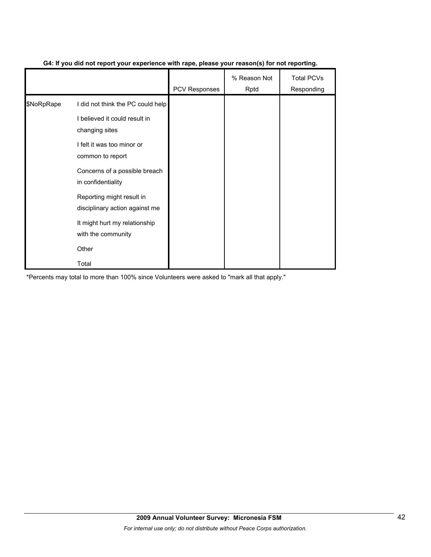|            |                                                             | <b>PCV Responses</b> | % Reason Not<br>Rptd | <b>Total PCVs</b><br>Responding |
|------------|-------------------------------------------------------------|----------------------|----------------------|---------------------------------|
| \$NoRpRape | I did not think the PC could help                           |                      |                      |                                 |
|            | I believed it could result in<br>changing sites             |                      |                      |                                 |
|            | I felt it was too minor or<br>common to report              |                      |                      |                                 |
|            | Concerns of a possible breach<br>in confidentiality         |                      |                      |                                 |
|            | Reporting might result in<br>disciplinary action against me |                      |                      |                                 |
|            | It might hurt my relationship<br>with the community         |                      |                      |                                 |
|            | Other                                                       |                      |                      |                                 |
|            | Total                                                       |                      |                      |                                 |

#### **G4: If you did not report your experience with rape, please your reason(s) for not reporting.**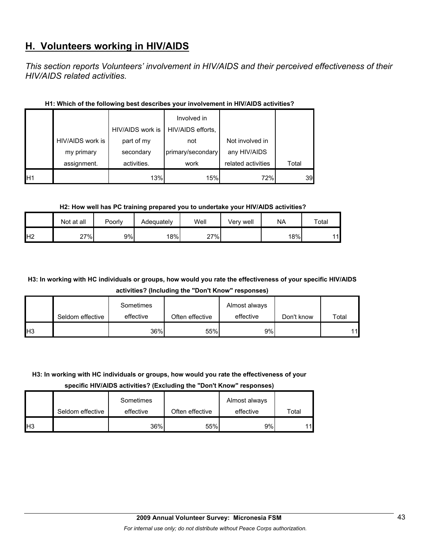# **H. Volunteers working in HIV/AIDS**

*This section reports Volunteers' involvement in HIV/AIDS and their perceived effectiveness of their HIV/AIDS related activities.* 

|                |                  | HIV/AIDS work is | Involved in<br>HIV/AIDS efforts, |                    |       |
|----------------|------------------|------------------|----------------------------------|--------------------|-------|
|                | HIV/AIDS work is | part of my       | not                              | Not involved in    |       |
|                | my primary       | secondary        | primary/secondary                | any HIV/AIDS       |       |
|                | assignment.      | activities.      | work                             | related activities | Total |
| H <sub>1</sub> |                  | 13%              | 15%                              | 72%                | 39    |

#### **H1: Which of the following best describes your involvement in HIV/AIDS activities?**

#### **H2: How well has PC training prepared you to undertake your HIV/AIDS activities?**

|                | Not at all | Poorly | Adequately | Well | Verv well | <b>NA</b> | Total |
|----------------|------------|--------|------------|------|-----------|-----------|-------|
| H <sub>2</sub> | 27%        | 9%l    | 18%        | 27%  |           | 18%       | 11    |

# **H3: In working with HC individuals or groups, how would you rate the effectiveness of your specific HIV/AIDS activities? (Including the "Don't Know" responses)**

|                       | Seldom effective | Sometimes<br>effective | Often effective | Almost always<br>effective | Don't know | Total |
|-----------------------|------------------|------------------------|-----------------|----------------------------|------------|-------|
| <b>H</b> <sub>3</sub> |                  | 36%                    | 55%             | 9%l                        |            | 11    |

#### **H3: In working with HC individuals or groups, how would you rate the effectiveness of your**

**specific HIV/AIDS activities? (Excluding the "Don't Know" responses)**

|                 | Seldom effective | Sometimes<br>effective | Often effective | Almost always<br>effective | Total |
|-----------------|------------------|------------------------|-----------------|----------------------------|-------|
| IH <sub>3</sub> |                  | 36%                    | 55%             | 9%                         | 11    |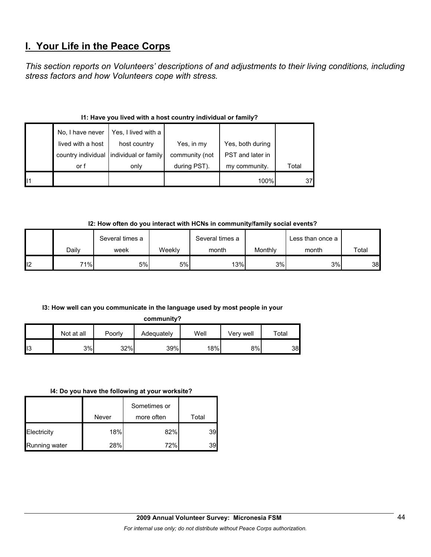# **I. Your Life in the Peace Corps**

*This section reports on Volunteers' descriptions of and adjustments to their living conditions, including stress factors and how Volunteers cope with stress.* 

#### **I1: Have you lived with a host country individual or family?**

|  | No, I have never  | Yes, I lived with a                     |                |                  |       |
|--|-------------------|-----------------------------------------|----------------|------------------|-------|
|  | lived with a host | host country                            | Yes, in my     | Yes, both during |       |
|  |                   | country individual individual or family | community (not | PST and later in |       |
|  | or f              | only                                    | during PST).   | my community.    | Total |
|  |                   |                                         |                | 100%             | 37    |

### **I2: How often do you interact with HCNs in community/family social events?**

|     | Several times a |      | Several times a |       | Less than once a |       |       |
|-----|-----------------|------|-----------------|-------|------------------|-------|-------|
|     | Dailv           | week | Weekly          | month | Monthly          | month | Total |
| ll2 | 71%             | 5%   | 5%l             | 13%   | 3%               | 3%    | 38    |

#### **I3: How well can you communicate in the language used by most people in your**

#### **community?**

|     | Not at all | Poorly | Adequately | Well | Verv well | $\tau$ otal |
|-----|------------|--------|------------|------|-----------|-------------|
| II3 | 3%         | 32%    | 39%        | 18%  | 8%        | 38          |

#### **I4: Do you have the following at your worksite?**

|                      | Never | Sometimes or<br>more often | Total |
|----------------------|-------|----------------------------|-------|
| Electricity          | 18%   | 82%                        | 39.   |
| <b>Running water</b> | 28%   | 72%                        | 39    |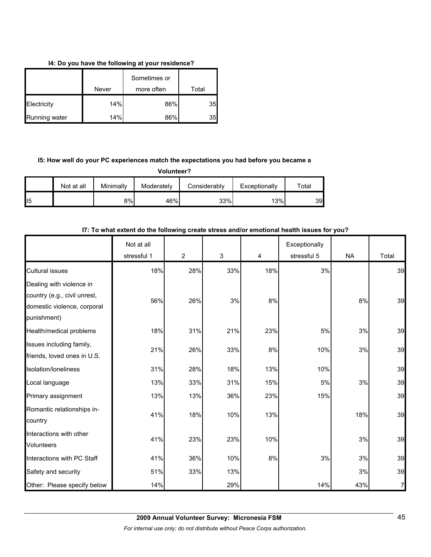#### **I4: Do you have the following at your residence?**

|               | Never | Sometimes or<br>more often | Total |
|---------------|-------|----------------------------|-------|
| Electricity   | 14%   | 86%                        | 35    |
| Running water | 14%   | 86%                        | 35    |

### **I5: How well do your PC experiences match the expectations you had before you became a**

**Volunteer?**

|     | Not at all | Minimally | Moderately | Considerably | Exceptionally | Total |
|-----|------------|-----------|------------|--------------|---------------|-------|
| 115 |            | 8%        | 46%        | 33%          | 13%           | 39.   |

# Not at all stressful 1  $\begin{array}{|c|c|c|c|c|c|c|c|c|} \hline \end{array}$  2  $\begin{array}{|c|c|c|c|c|c|c|c|} \hline \end{array}$  3  $\begin{array}{|c|c|c|c|c|} \hline \end{array}$  4 Exceptionally stressful 5 NA Total Cultural issues 18%| 28%| 33%| 18%| 3%| | 39 Dealing with violence in country (e.g., civil unrest, domestic violence, corporal punishment) 56% 26% 3% 8% 3% 8% 39 Health/medical problems 18% 31% 21% 23% 5% 3% 39 Issues including family, friends, loved ones in U.S. 21% 26% 33% 8% 10% 3% 39 Isolation/loneliness 31% 28% 18% 13% 10% 39 Local language 13% 33% 31% 15% 5% 3% 39 Primary assignment 13% 13% 13% 13% 36% 23% 15% 15% 15% 39 Romantic relationships incountry 41% 18% 10% 13% 13% 18% 18% 39 Interactions with other Volunteers 41% 23% 23% 23% 23% 23% 39  $\left| \right|$  Interactions with PC Staff  $\left| \right|$  41%  $\left| \right|$  36%  $\left| \right|$  30%  $\left| \right|$  3% 3% 39 39 Safety and security  $51\%$  33% 13% 39% 39 Other: Please specify below **14% 14% 14% 14% 14% 14% 14% 14% 14% 14%** 14% 14% 14% 14% 14% 14% 14% 15% 16% 16% 1

#### **I7: To what extent do the following create stress and/or emotional health issues for you?**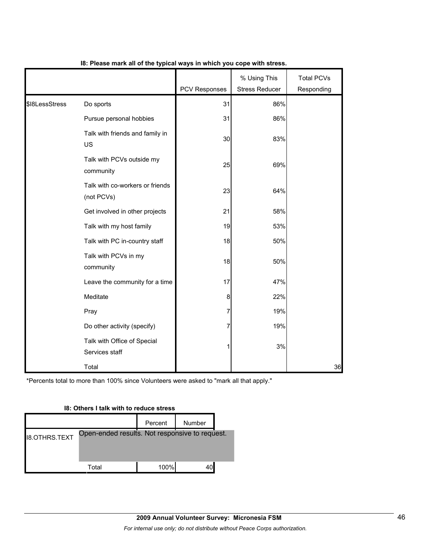|                |                                               | PCV Responses | % Using This<br><b>Stress Reducer</b> | <b>Total PCVs</b><br>Responding |
|----------------|-----------------------------------------------|---------------|---------------------------------------|---------------------------------|
| \$I8LessStress | Do sports                                     | 31            | 86%                                   |                                 |
|                | Pursue personal hobbies                       | 31            | 86%                                   |                                 |
|                | Talk with friends and family in<br>US         | 30            | 83%                                   |                                 |
|                | Talk with PCVs outside my<br>community        | 25            | 69%                                   |                                 |
|                | Talk with co-workers or friends<br>(not PCVs) | 23            | 64%                                   |                                 |
|                | Get involved in other projects                | 21            | 58%                                   |                                 |
|                | Talk with my host family                      | 19            | 53%                                   |                                 |
|                | Talk with PC in-country staff                 | 18            | 50%                                   |                                 |
|                | Talk with PCVs in my<br>community             | 18            | 50%                                   |                                 |
|                | Leave the community for a time                | 17            | 47%                                   |                                 |
|                | Meditate                                      | 8             | 22%                                   |                                 |
|                | Pray                                          | 7             | 19%                                   |                                 |
|                | Do other activity (specify)                   | 7             | 19%                                   |                                 |
|                | Talk with Office of Special<br>Services staff | 1             | 3%                                    |                                 |
|                | Total                                         |               |                                       | 36                              |

#### **I8: Please mark all of the typical ways in which you cope with stress.**

\*Percents total to more than 100% since Volunteers were asked to "mark all that apply."

# Percent | Number I8.OTHRS.TEXT Total 100% 40 Open-ended results. Not responsive to request.

#### **I8: Others I talk with to reduce stress**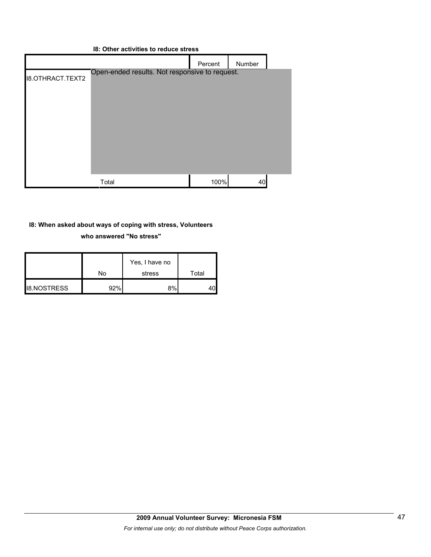| 18: Other activities to reduce stress |                                                |         |        |  |
|---------------------------------------|------------------------------------------------|---------|--------|--|
|                                       |                                                | Percent | Number |  |
| <b>I8.OTHRACT.TEXT2</b>               | Open-ended results. Not responsive to request. |         |        |  |
|                                       | Total                                          | 100%    | 40     |  |

### **I8: When asked about ways of coping with stress, Volunteers who answered "No stress"**

|                    | No  | Yes, I have no<br>stress | Total |
|--------------------|-----|--------------------------|-------|
| <b>I8.NOSTRESS</b> | 92% | 8%                       |       |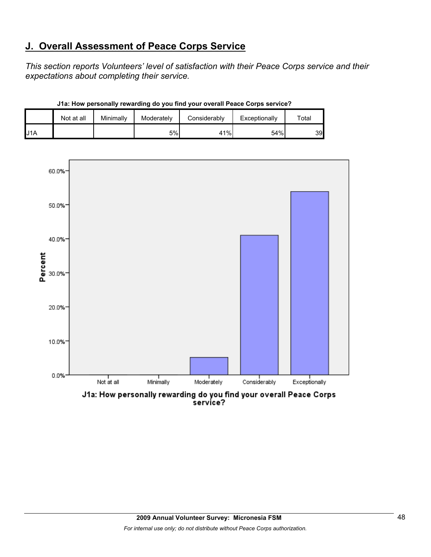# **J. Overall Assessment of Peace Corps Service**

*This section reports Volunteers' level of satisfaction with their Peace Corps service and their expectations about completing their service.* 

|     | Not at all | Minimally | Moderately | Considerably | Exceptionally | ™otal |
|-----|------------|-----------|------------|--------------|---------------|-------|
| J1A |            |           | 5%         | 41%          | 54%           | 39    |

**J1a: How personally rewarding do you find your overall Peace Corps service?**

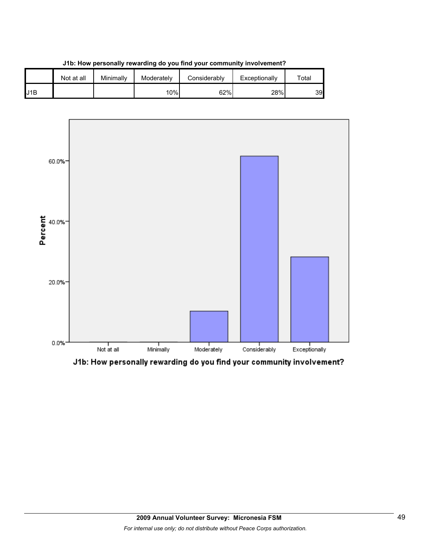

**J1b: How personally rewarding do you find your community involvement?**



J1b: How personally rewarding do you find your community involvement?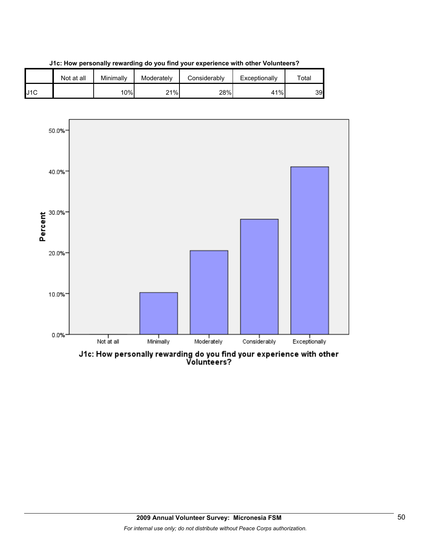





J1c: How personally rewarding do you find your experience with other<br>Volunteers?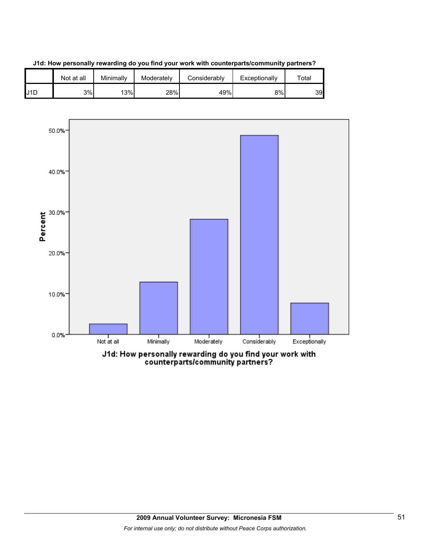





counterparts/community partners?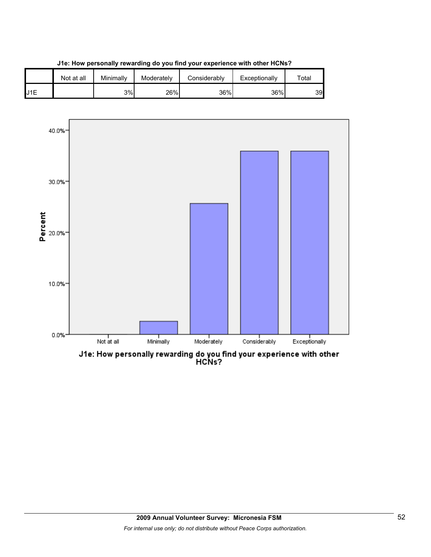



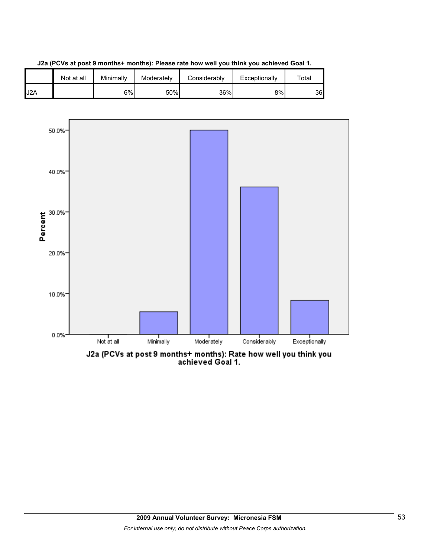

**J2a (PCVs at post 9 months+ months): Please rate how well you think you achieved Goal 1.**

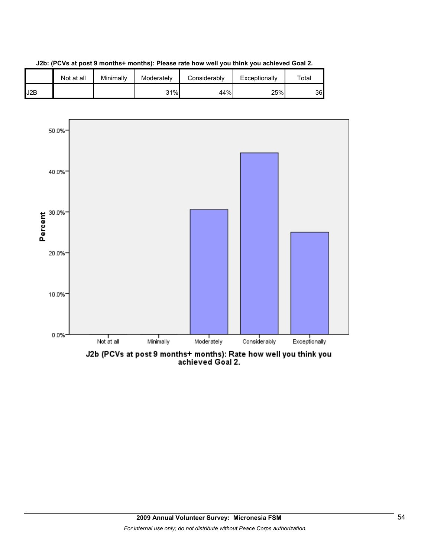

**J2b: (PCVs at post 9 months+ months): Please rate how well you think you achieved Goal 2.**

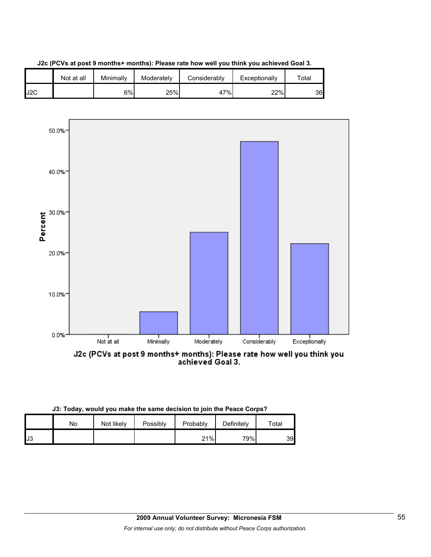



| J3: Today, would you make the same decision to join the Peace Corps? |            |          |          |            |       |  |  |  |
|----------------------------------------------------------------------|------------|----------|----------|------------|-------|--|--|--|
| No                                                                   | Not likely | Possibly | Probably | Definitely | Total |  |  |  |
|                                                                      |            |          |          |            |       |  |  |  |

J3 21% 79% 39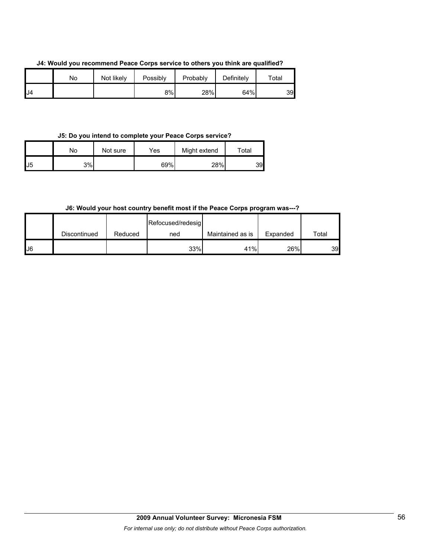**J4: Would you recommend Peace Corps service to others you think are qualified?**

|     | No | Not likely | Possibly | Probably | Definitely | Total |
|-----|----|------------|----------|----------|------------|-------|
| IJ4 |    |            | 8%       | 28%      | 64%        | 39    |

#### **J5: Do you intend to complete your Peace Corps service?**

|     | No | Not sure | Yes | Might extend | $\tau$ otal |
|-----|----|----------|-----|--------------|-------------|
| IJ5 | 3% |          | 69% | 28%          | 39          |

### **J6: Would your host country benefit most if the Peace Corps program was---?**

|    |              |         | Refocused/redesig |                  |          |       |
|----|--------------|---------|-------------------|------------------|----------|-------|
|    | Discontinued | Reduced | ned               | Maintained as is | Expanded | Total |
| J6 |              |         | 33%               | 41%              | 26%      | 39    |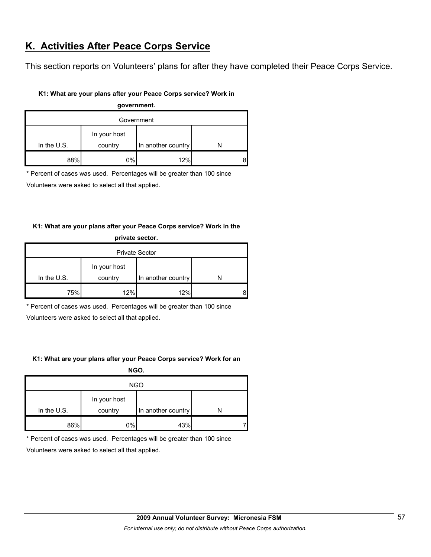# **K. Activities After Peace Corps Service**

This section reports on Volunteers' plans for after they have completed their Peace Corps Service.

#### **K1: What are your plans after your Peace Corps service? Work in**

| government.   |              |                    |  |  |  |
|---------------|--------------|--------------------|--|--|--|
| Government    |              |                    |  |  |  |
|               | In your host |                    |  |  |  |
| In the $U.S.$ | country      | In another country |  |  |  |
| 88%           | 0%           | 12%                |  |  |  |

\* Percent of cases was used. Percentages will be greater than 100 since

Volunteers were asked to select all that applied.

### **K1: What are your plans after your Peace Corps service? Work in the**

| private sector.       |         |                    |   |  |  |
|-----------------------|---------|--------------------|---|--|--|
| <b>Private Sector</b> |         |                    |   |  |  |
| In your host          |         |                    |   |  |  |
| In the $U.S.$         | country | In another country |   |  |  |
| 75%                   | 12%     | 12%                | 8 |  |  |

\* Percent of cases was used. Percentages will be greater than 100 since

Volunteers were asked to select all that applied.

#### **K1: What are your plans after your Peace Corps service? Work for an**

**NGO.**

| <b>NGO</b>    |              |                    |  |  |  |
|---------------|--------------|--------------------|--|--|--|
|               | In your host |                    |  |  |  |
| In the $U.S.$ | country      | In another country |  |  |  |
| 86%           | 0%           | 43%                |  |  |  |

\* Percent of cases was used. Percentages will be greater than 100 since

Volunteers were asked to select all that applied.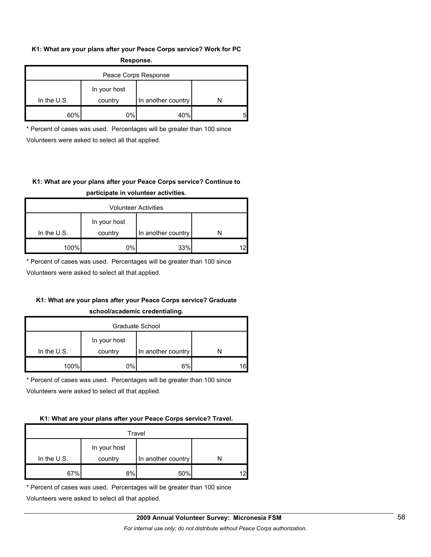#### **K1: What are your plans after your Peace Corps service? Work for PC Response.**

| -----------          |                         |                    |  |  |  |
|----------------------|-------------------------|--------------------|--|--|--|
| Peace Corps Response |                         |                    |  |  |  |
| In the $U.S.$        | In your host<br>country | In another country |  |  |  |
| 60%                  | 0%                      | 40%                |  |  |  |

\* Percent of cases was used. Percentages will be greater than 100 since Volunteers were asked to select all that applied.

# **K1: What are your plans after your Peace Corps service? Continue to participate in volunteer activities.**

| <b>Volunteer Activities</b> |                         |                    |    |  |  |
|-----------------------------|-------------------------|--------------------|----|--|--|
| In the U.S.                 | In your host<br>country | In another country |    |  |  |
|                             |                         |                    |    |  |  |
| 100%                        | 0%                      | 33%                | 12 |  |  |

\* Percent of cases was used. Percentages will be greater than 100 since

Volunteers were asked to select all that applied.

# **K1: What are your plans after your Peace Corps service? Graduate**

#### **school/academic credentialing.**

| Graduate School |              |                    |  |  |  |
|-----------------|--------------|--------------------|--|--|--|
|                 | In your host |                    |  |  |  |
| In the $U.S.$   | country      | In another country |  |  |  |
| 100%            | $0\%$        | 6%                 |  |  |  |

\* Percent of cases was used. Percentages will be greater than 100 since

Volunteers were asked to select all that applied.

#### **K1: What are your plans after your Peace Corps service? Travel.**

| Travel        |              |                    |    |  |  |
|---------------|--------------|--------------------|----|--|--|
|               | In your host |                    |    |  |  |
| In the $U.S.$ | country      | In another country |    |  |  |
| 67%           | 8%           | 50%                | 12 |  |  |

\* Percent of cases was used. Percentages will be greater than 100 since

Volunteers were asked to select all that applied.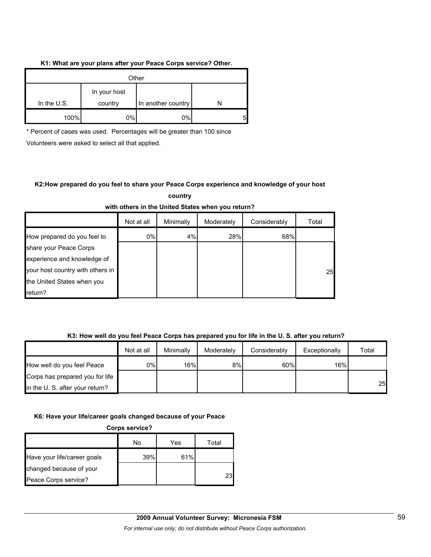#### **K1: What are your plans after your Peace Corps service? Other.**

| Other         |                         |                    |  |  |
|---------------|-------------------------|--------------------|--|--|
| In the $U.S.$ | In your host<br>country | In another country |  |  |
|               |                         |                    |  |  |
| 100%          | 0%                      | 0%                 |  |  |

\* Percent of cases was used. Percentages will be greater than 100 since

Volunteers were asked to select all that applied.

### **K2:How prepared do you feel to share your Peace Corps experience and knowledge of your host country**

| with others in the Onlied States when you return? |            |           |            |              |       |  |  |
|---------------------------------------------------|------------|-----------|------------|--------------|-------|--|--|
|                                                   | Not at all | Minimally | Moderately | Considerably | Total |  |  |
| How prepared do you feel to                       | 0%         | 4%        | 28%        | 68%          |       |  |  |
| share your Peace Corps                            |            |           |            |              |       |  |  |
| experience and knowledge of                       |            |           |            |              |       |  |  |
| your host country with others in                  |            |           |            |              | 25    |  |  |
| the United States when you                        |            |           |            |              |       |  |  |
| return?                                           |            |           |            |              |       |  |  |

# **with others in the United States when you return?**

### **K3: How well do you feel Peace Corps has prepared you for life in the U. S. after you return?**

|                                 | Not at all | Minimally | Moderately | Considerably | Exceptionally | Total |
|---------------------------------|------------|-----------|------------|--------------|---------------|-------|
| How well do you feel Peace      | $0\%$      | 16%       | 8%         | 60%          | 16%           |       |
| Corps has prepared you for life |            |           |            |              |               |       |
| in the U. S. after your return? |            |           |            |              |               | 25    |

### **K6: Have your life/career goals changed because of your Peace**

**Corps service?**

|                             | No  | Yes | Total |
|-----------------------------|-----|-----|-------|
| Have your life/career goals | 39% | 61% |       |
| changed because of your     |     |     |       |
| Peace Corps service?        |     |     | 231   |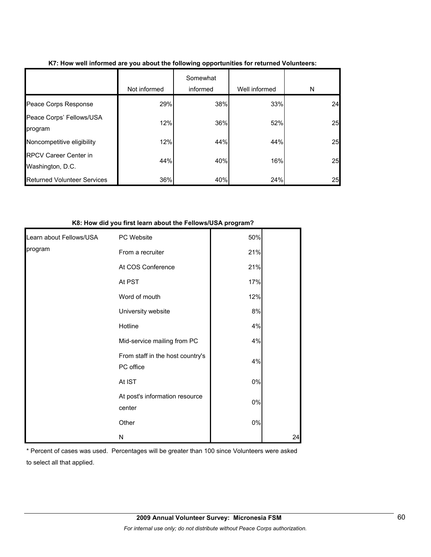|                                                  | Not informed | Somewhat<br>informed | Well informed | N  |
|--------------------------------------------------|--------------|----------------------|---------------|----|
| Peace Corps Response                             | 29%          | 38%                  | 33%           | 24 |
| Peace Corps' Fellows/USA<br>program              | 12%          | 36%                  | 52%           | 25 |
| Noncompetitive eligibility                       | 12%          | 44%                  | 44%           | 25 |
| <b>RPCV Career Center in</b><br>Washington, D.C. | 44%          | 40%                  | 16%           | 25 |
| <b>Returned Volunteer Services</b>               | 36%          | 40%                  | 24%           | 25 |

#### **K7: How well informed are you about the following opportunities for returned Volunteers:**

#### **K8: How did you first learn about the Fellows/USA program?**

| Learn about Fellows/USA | PC Website                                    | 50% |    |
|-------------------------|-----------------------------------------------|-----|----|
| program                 | From a recruiter                              | 21% |    |
|                         | At COS Conference                             | 21% |    |
|                         | At PST                                        | 17% |    |
|                         | Word of mouth                                 | 12% |    |
|                         | University website                            | 8%  |    |
|                         | Hotline                                       | 4%  |    |
|                         | Mid-service mailing from PC                   | 4%  |    |
|                         | From staff in the host country's<br>PC office | 4%  |    |
|                         | At IST                                        | 0%  |    |
|                         | At post's information resource<br>center      | 0%  |    |
|                         | Other                                         | 0%  |    |
|                         | N                                             |     | 24 |

\* Percent of cases was used. Percentages will be greater than 100 since Volunteers were asked to select all that applied.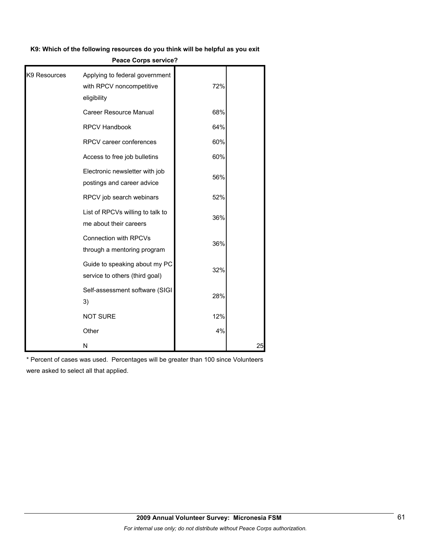#### **K9: Which of the following resources do you think will be helpful as you exit**

# Applying to federal government with RPCV noncompetitive eligibility 72% Career Resource Manual **Career Resource Manual** RPCV Handbook 64% RPCV career conferences  $\blacksquare$  60% Access to free job bulletins  $60\%$ Electronic newsletter with job postings and career advice 56% RPCV job search webinars **Fig. 128**% List of RPCVs willing to talk to me about their careers 36% Connection with RPCVs through a mentoring program 36% Guide to speaking about my PC service to others (third goal) 32% Self-assessment software (SIGI 3) 28% NOT SURE 12% Other **1999 1999 1999 1999 1999 1999 1999 1999 1999** K9 Resources N 25

**Peace Corps service?**

\* Percent of cases was used. Percentages will be greater than 100 since Volunteers were asked to select all that applied.